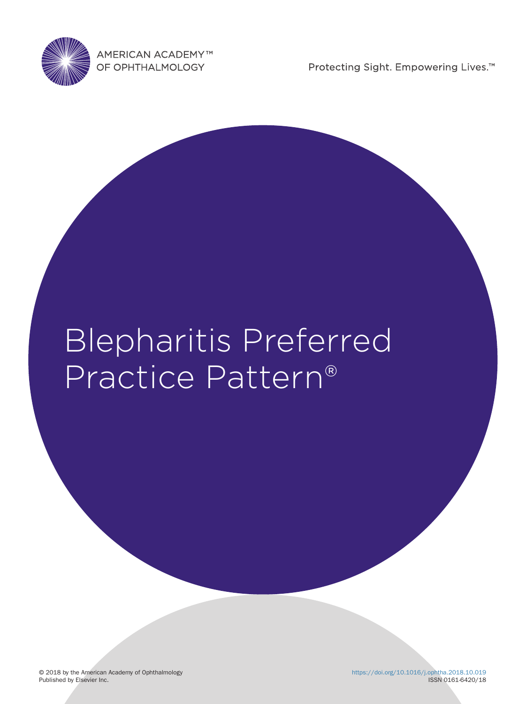

AMERICAN ACADEMY™ OF OPHTHALMOLOGY

Protecting Sight. Empowering Lives.™

# Blepharitis Preferred Practice Pattern®

© 2018 by the American Academy of Ophthalmology Published by Elsevier Inc.

https://doi.org/10.1016/j.ophtha.2018.10.019 ISSN 0161-6420/18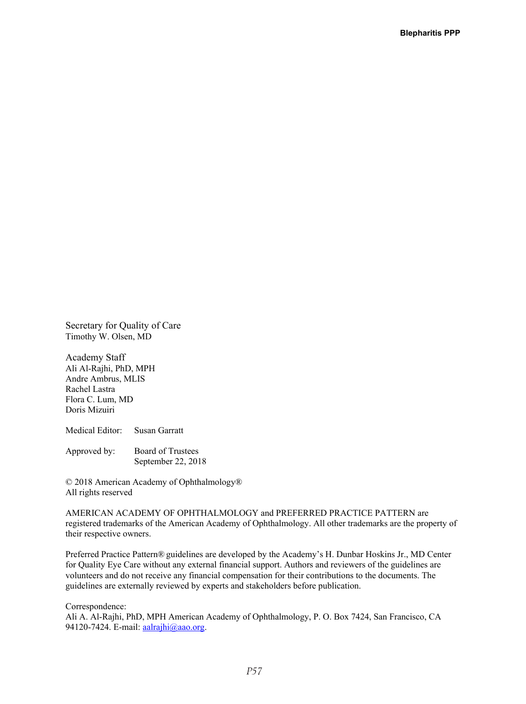Secretary for Quality of Care Timothy W. Olsen, MD

Academy Staff Ali Al-Rajhi, PhD, MPH Andre Ambrus, MLIS Rachel Lastra Flora C. Lum, MD Doris Mizuiri

Medical Editor: Susan Garratt

Approved by: Board of Trustees September 22, 2018

© 2018 American Academy of Ophthalmology® All rights reserved

AMERICAN ACADEMY OF OPHTHALMOLOGY and PREFERRED PRACTICE PATTERN are registered trademarks of the American Academy of Ophthalmology. All other trademarks are the property of their respective owners.

Preferred Practice Pattern® guidelines are developed by the Academy's H. Dunbar Hoskins Jr., MD Center for Quality Eye Care without any external financial support. Authors and reviewers of the guidelines are volunteers and do not receive any financial compensation for their contributions to the documents. The guidelines are externally reviewed by experts and stakeholders before publication.

Correspondence:

Ali A. Al-Rajhi, PhD, MPH American Academy of Ophthalmology, P. O. Box 7424, San Francisco, CA 94120-7424. E-mail: aalrajhi@aao.org.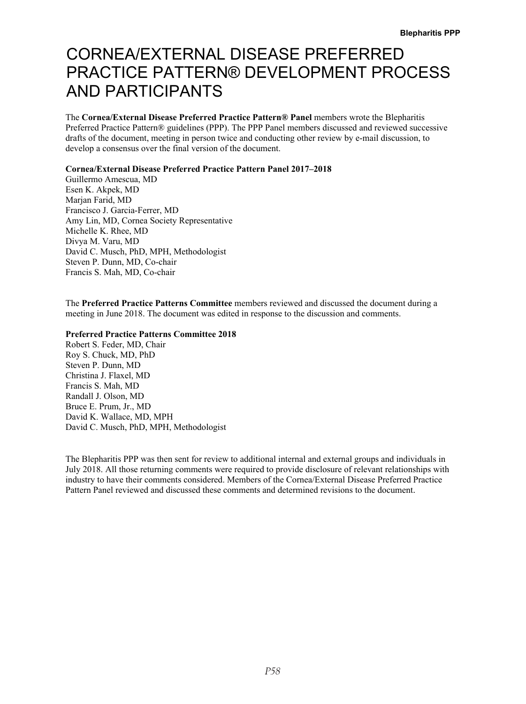### CORNEA/EXTERNAL DISEASE PREFERRED PRACTICE PATTERN® DEVELOPMENT PROCESS AND PARTICIPANTS

The **Cornea/External Disease Preferred Practice Pattern® Panel** members wrote the Blepharitis Preferred Practice Pattern® guidelines (PPP). The PPP Panel members discussed and reviewed successive drafts of the document, meeting in person twice and conducting other review by e-mail discussion, to develop a consensus over the final version of the document.

#### **Cornea/External Disease Preferred Practice Pattern Panel 2017–2018**

Guillermo Amescua, MD Esen K. Akpek, MD Marjan Farid, MD Francisco J. Garcia-Ferrer, MD Amy Lin, MD, Cornea Society Representative Michelle K. Rhee, MD Divya M. Varu, MD David C. Musch, PhD, MPH, Methodologist Steven P. Dunn, MD, Co-chair Francis S. Mah, MD, Co-chair

The **Preferred Practice Patterns Committee** members reviewed and discussed the document during a meeting in June 2018. The document was edited in response to the discussion and comments.

#### **Preferred Practice Patterns Committee 2018**

Robert S. Feder, MD, Chair Roy S. Chuck, MD, PhD Steven P. Dunn, MD Christina J. Flaxel, MD Francis S. Mah, MD Randall J. Olson, MD Bruce E. Prum, Jr., MD David K. Wallace, MD, MPH David C. Musch, PhD, MPH, Methodologist

The Blepharitis PPP was then sent for review to additional internal and external groups and individuals in July 2018. All those returning comments were required to provide disclosure of relevant relationships with industry to have their comments considered. Members of the Cornea/External Disease Preferred Practice Pattern Panel reviewed and discussed these comments and determined revisions to the document.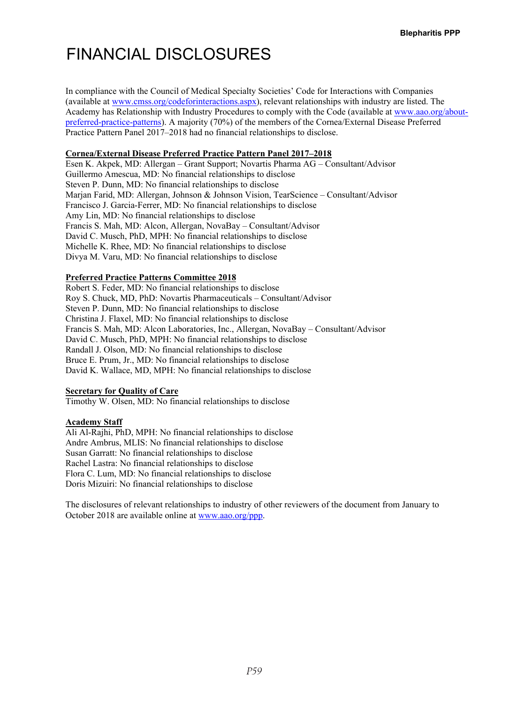# FINANCIAL DISCLOSURES

In compliance with the Council of Medical Specialty Societies' Code for Interactions with Companies (available at www.cmss.org/codeforinteractions.aspx), relevant relationships with industry are listed. The Academy has Relationship with Industry Procedures to comply with the Code (available at www.aao.org/aboutpreferred-practice-patterns). A majority (70%) of the members of the Cornea/External Disease Preferred Practice Pattern Panel 2017–2018 had no financial relationships to disclose.

#### **Cornea/External Disease Preferred Practice Pattern Panel 2017–2018**

Esen K. Akpek, MD: Allergan – Grant Support; Novartis Pharma AG – Consultant/Advisor Guillermo Amescua, MD: No financial relationships to disclose Steven P. Dunn, MD: No financial relationships to disclose Marjan Farid, MD: Allergan, Johnson & Johnson Vision, TearScience – Consultant/Advisor Francisco J. Garcia-Ferrer, MD: No financial relationships to disclose Amy Lin, MD: No financial relationships to disclose Francis S. Mah, MD: Alcon, Allergan, NovaBay – Consultant/Advisor David C. Musch, PhD, MPH: No financial relationships to disclose Michelle K. Rhee, MD: No financial relationships to disclose Divya M. Varu, MD: No financial relationships to disclose

#### **Preferred Practice Patterns Committee 2018**

Robert S. Feder, MD: No financial relationships to disclose Roy S. Chuck, MD, PhD: Novartis Pharmaceuticals – Consultant/Advisor Steven P. Dunn, MD: No financial relationships to disclose Christina J. Flaxel, MD: No financial relationships to disclose Francis S. Mah, MD: Alcon Laboratories, Inc., Allergan, NovaBay – Consultant/Advisor David C. Musch, PhD, MPH: No financial relationships to disclose Randall J. Olson, MD: No financial relationships to disclose Bruce E. Prum, Jr., MD: No financial relationships to disclose David K. Wallace, MD, MPH: No financial relationships to disclose

#### **Secretary for Quality of Care**

Timothy W. Olsen, MD: No financial relationships to disclose

#### **Academy Staff**

Ali Al-Rajhi, PhD, MPH: No financial relationships to disclose Andre Ambrus, MLIS: No financial relationships to disclose Susan Garratt: No financial relationships to disclose Rachel Lastra: No financial relationships to disclose Flora C. Lum, MD: No financial relationships to disclose Doris Mizuiri: No financial relationships to disclose

The disclosures of relevant relationships to industry of other reviewers of the document from January to October 2018 are available online at www.aao.org/ppp.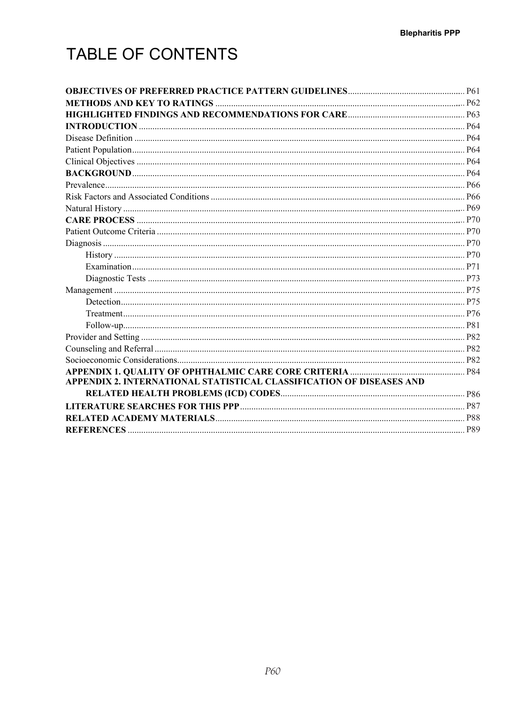# TABLE OF CONTENTS

| APPENDIX 2. INTERNATIONAL STATISTICAL CLASSIFICATION OF DISEASES AND |  |
|----------------------------------------------------------------------|--|
|                                                                      |  |
|                                                                      |  |
|                                                                      |  |
|                                                                      |  |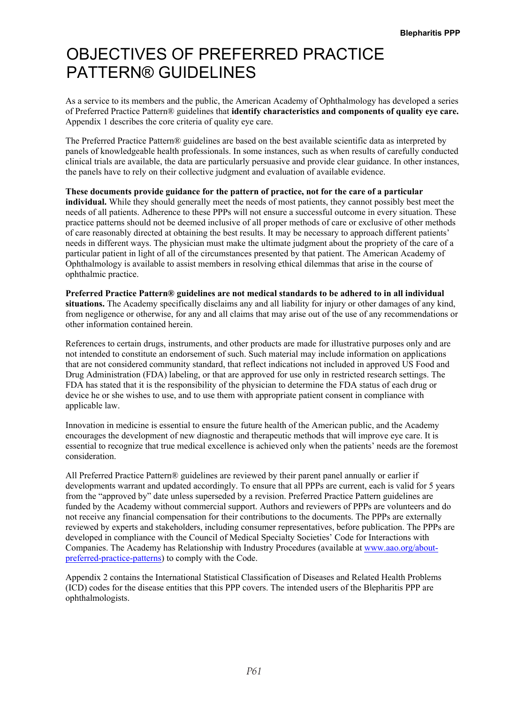# OBJECTIVES OF PREFERRED PRACTICE PATTERN® GUIDELINES

As a service to its members and the public, the American Academy of Ophthalmology has developed a series of Preferred Practice Pattern® guidelines that **identify characteristics and components of quality eye care.**  Appendix 1 describes the core criteria of quality eye care.

The Preferred Practice Pattern® guidelines are based on the best available scientific data as interpreted by panels of knowledgeable health professionals. In some instances, such as when results of carefully conducted clinical trials are available, the data are particularly persuasive and provide clear guidance. In other instances, the panels have to rely on their collective judgment and evaluation of available evidence.

**These documents provide guidance for the pattern of practice, not for the care of a particular individual.** While they should generally meet the needs of most patients, they cannot possibly best meet the needs of all patients. Adherence to these PPPs will not ensure a successful outcome in every situation. These practice patterns should not be deemed inclusive of all proper methods of care or exclusive of other methods of care reasonably directed at obtaining the best results. It may be necessary to approach different patients' needs in different ways. The physician must make the ultimate judgment about the propriety of the care of a particular patient in light of all of the circumstances presented by that patient. The American Academy of Ophthalmology is available to assist members in resolving ethical dilemmas that arise in the course of ophthalmic practice.

**Preferred Practice Pattern® guidelines are not medical standards to be adhered to in all individual situations.** The Academy specifically disclaims any and all liability for injury or other damages of any kind, from negligence or otherwise, for any and all claims that may arise out of the use of any recommendations or other information contained herein.

References to certain drugs, instruments, and other products are made for illustrative purposes only and are not intended to constitute an endorsement of such. Such material may include information on applications that are not considered community standard, that reflect indications not included in approved US Food and Drug Administration (FDA) labeling, or that are approved for use only in restricted research settings. The FDA has stated that it is the responsibility of the physician to determine the FDA status of each drug or device he or she wishes to use, and to use them with appropriate patient consent in compliance with applicable law.

Innovation in medicine is essential to ensure the future health of the American public, and the Academy encourages the development of new diagnostic and therapeutic methods that will improve eye care. It is essential to recognize that true medical excellence is achieved only when the patients' needs are the foremost consideration.

All Preferred Practice Pattern® guidelines are reviewed by their parent panel annually or earlier if developments warrant and updated accordingly. To ensure that all PPPs are current, each is valid for 5 years from the "approved by" date unless superseded by a revision. Preferred Practice Pattern guidelines are funded by the Academy without commercial support. Authors and reviewers of PPPs are volunteers and do not receive any financial compensation for their contributions to the documents. The PPPs are externally reviewed by experts and stakeholders, including consumer representatives, before publication. The PPPs are developed in compliance with the Council of Medical Specialty Societies' Code for Interactions with Companies. The Academy has Relationship with Industry Procedures (available at www.aao.org/aboutpreferred-practice-patterns) to comply with the Code.

Appendix 2 contains the International Statistical Classification of Diseases and Related Health Problems (ICD) codes for the disease entities that this PPP covers. The intended users of the Blepharitis PPP are ophthalmologists.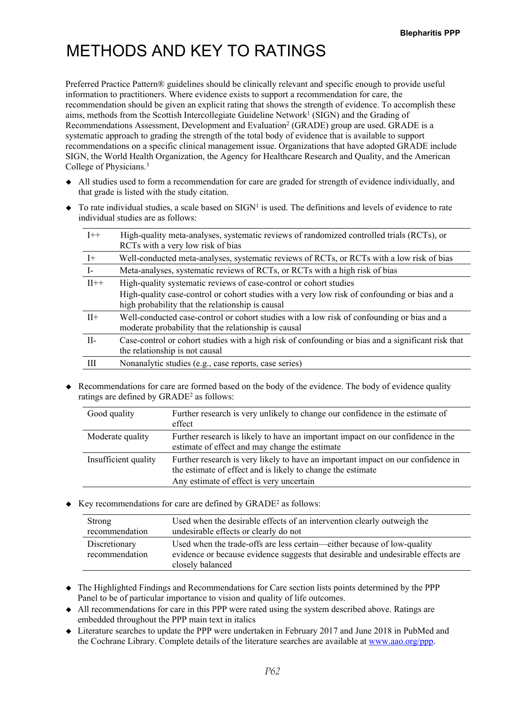# METHODS AND KEY TO RATINGS

Preferred Practice Pattern® guidelines should be clinically relevant and specific enough to provide useful information to practitioners. Where evidence exists to support a recommendation for care, the recommendation should be given an explicit rating that shows the strength of evidence. To accomplish these aims, methods from the Scottish Intercollegiate Guideline Network<sup>1</sup> (SIGN) and the Grading of Recommendations Assessment, Development and Evaluation<sup>2</sup> (GRADE) group are used. GRADE is a systematic approach to grading the strength of the total body of evidence that is available to support recommendations on a specific clinical management issue. Organizations that have adopted GRADE include SIGN, the World Health Organization, the Agency for Healthcare Research and Quality, and the American College of Physicians.3

- All studies used to form a recommendation for care are graded for strength of evidence individually, and that grade is listed with the study citation.
- $\bullet$  To rate individual studies, a scale based on SIGN<sup>1</sup> is used. The definitions and levels of evidence to rate individual studies are as follows:

| $I++$        | High-quality meta-analyses, systematic reviews of randomized controlled trials (RCTs), or<br>RCTs with a very low risk of bias                                                                                         |
|--------------|------------------------------------------------------------------------------------------------------------------------------------------------------------------------------------------------------------------------|
| $+$          | Well-conducted meta-analyses, systematic reviews of RCTs, or RCTs with a low risk of bias                                                                                                                              |
| $\mathbf{I}$ | Meta-analyses, systematic reviews of RCTs, or RCTs with a high risk of bias                                                                                                                                            |
| $II++$       | High-quality systematic reviews of case-control or cohort studies<br>High-quality case-control or cohort studies with a very low risk of confounding or bias and a<br>high probability that the relationship is causal |
| $II+$        | Well-conducted case-control or cohort studies with a low risk of confounding or bias and a<br>moderate probability that the relationship is causal                                                                     |
| II           | Case-control or cohort studies with a high risk of confounding or bias and a significant risk that<br>the relationship is not causal                                                                                   |
| Ш            | Nonanalytic studies (e.g., case reports, case series)                                                                                                                                                                  |

 Recommendations for care are formed based on the body of the evidence. The body of evidence quality ratings are defined by GRADE<sup>2</sup> as follows:

| Good quality         | Further research is very unlikely to change our confidence in the estimate of<br>effect                                                                                                     |
|----------------------|---------------------------------------------------------------------------------------------------------------------------------------------------------------------------------------------|
| Moderate quality     | Further research is likely to have an important impact on our confidence in the<br>estimate of effect and may change the estimate                                                           |
| Insufficient quality | Further research is very likely to have an important impact on our confidence in<br>the estimate of effect and is likely to change the estimate<br>Any estimate of effect is very uncertain |

 $\blacklozenge$  Key recommendations for care are defined by GRADE<sup>2</sup> as follows:

| Strong                          | Used when the desirable effects of an intervention clearly outweigh the                                                                                                         |  |
|---------------------------------|---------------------------------------------------------------------------------------------------------------------------------------------------------------------------------|--|
| recommendation                  | undesirable effects or clearly do not                                                                                                                                           |  |
| Discretionary<br>recommendation | Used when the trade-offs are less certain—either because of low-quality<br>evidence or because evidence suggests that desirable and undesirable effects are<br>closely balanced |  |

- The Highlighted Findings and Recommendations for Care section lists points determined by the PPP Panel to be of particular importance to vision and quality of life outcomes.
- All recommendations for care in this PPP were rated using the system described above. Ratings are embedded throughout the PPP main text in italics
- Literature searches to update the PPP were undertaken in February 2017 and June 2018 in PubMed and the Cochrane Library. Complete details of the literature searches are available at www.aao.org/ppp.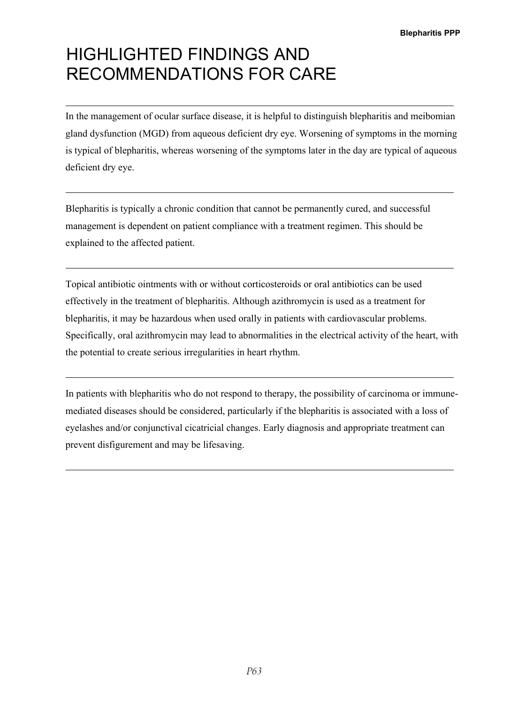# HIGHLIGHTED FINDINGS AND RECOMMENDATIONS FOR CARE

In the management of ocular surface disease, it is helpful to distinguish blepharitis and meibomian gland dysfunction (MGD) from aqueous deficient dry eye. Worsening of symptoms in the morning is typical of blepharitis, whereas worsening of the symptoms later in the day are typical of aqueous deficient dry eye.

Blepharitis is typically a chronic condition that cannot be permanently cured, and successful management is dependent on patient compliance with a treatment regimen. This should be explained to the affected patient.

Topical antibiotic ointments with or without corticosteroids or oral antibiotics can be used effectively in the treatment of blepharitis. Although azithromycin is used as a treatment for blepharitis, it may be hazardous when used orally in patients with cardiovascular problems. Specifically, oral azithromycin may lead to abnormalities in the electrical activity of the heart, with the potential to create serious irregularities in heart rhythm.

In patients with blepharitis who do not respond to therapy, the possibility of carcinoma or immunemediated diseases should be considered, particularly if the blepharitis is associated with a loss of eyelashes and/or conjunctival cicatricial changes. Early diagnosis and appropriate treatment can prevent disfigurement and may be lifesaving.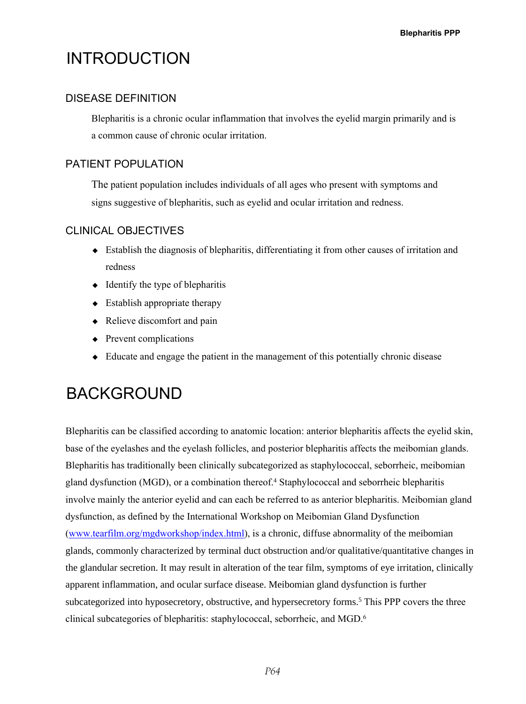### INTRODUCTION

#### DISEASE DEFINITION

Blepharitis is a chronic ocular inflammation that involves the eyelid margin primarily and is a common cause of chronic ocular irritation.

#### PATIENT POPULATION

The patient population includes individuals of all ages who present with symptoms and signs suggestive of blepharitis, such as eyelid and ocular irritation and redness.

#### CLINICAL OBJECTIVES

- Establish the diagnosis of blepharitis, differentiating it from other causes of irritation and redness
- $\bullet$  Identify the type of blepharitis
- $\triangleleft$  Establish appropriate therapy
- ◆ Relieve discomfort and pain
- Prevent complications
- $\bullet$  Educate and engage the patient in the management of this potentially chronic disease

### BACKGROUND

Blepharitis can be classified according to anatomic location: anterior blepharitis affects the eyelid skin, base of the eyelashes and the eyelash follicles, and posterior blepharitis affects the meibomian glands. Blepharitis has traditionally been clinically subcategorized as staphylococcal, seborrheic, meibomian gland dysfunction (MGD), or a combination thereof.4 Staphylococcal and seborrheic blepharitis involve mainly the anterior eyelid and can each be referred to as anterior blepharitis. Meibomian gland dysfunction, as defined by the International Workshop on Meibomian Gland Dysfunction (www.tearfilm.org/mgdworkshop/index.html), is a chronic, diffuse abnormality of the meibomian glands, commonly characterized by terminal duct obstruction and/or qualitative/quantitative changes in the glandular secretion. It may result in alteration of the tear film, symptoms of eye irritation, clinically apparent inflammation, and ocular surface disease. Meibomian gland dysfunction is further subcategorized into hyposecretory, obstructive, and hypersecretory forms.<sup>5</sup> This PPP covers the three clinical subcategories of blepharitis: staphylococcal, seborrheic, and MGD.6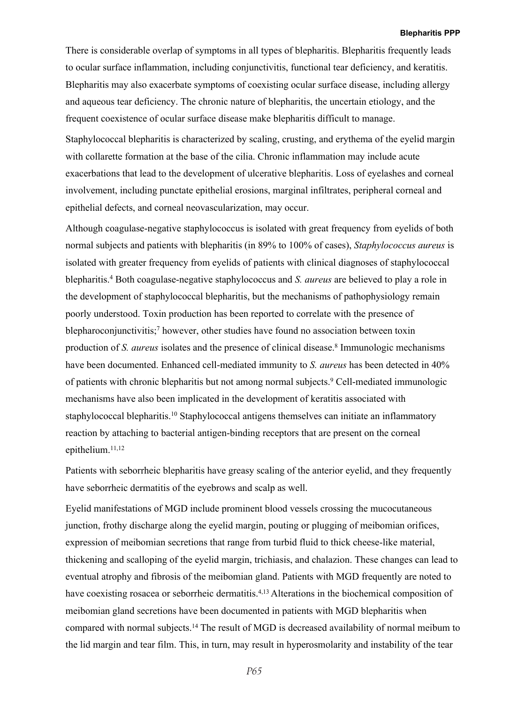There is considerable overlap of symptoms in all types of blepharitis. Blepharitis frequently leads to ocular surface inflammation, including conjunctivitis, functional tear deficiency, and keratitis. Blepharitis may also exacerbate symptoms of coexisting ocular surface disease, including allergy and aqueous tear deficiency. The chronic nature of blepharitis, the uncertain etiology, and the frequent coexistence of ocular surface disease make blepharitis difficult to manage.

Staphylococcal blepharitis is characterized by scaling, crusting, and erythema of the eyelid margin with collarette formation at the base of the cilia. Chronic inflammation may include acute exacerbations that lead to the development of ulcerative blepharitis. Loss of eyelashes and corneal involvement, including punctate epithelial erosions, marginal infiltrates, peripheral corneal and epithelial defects, and corneal neovascularization, may occur.

Although coagulase-negative staphylococcus is isolated with great frequency from eyelids of both normal subjects and patients with blepharitis (in 89% to 100% of cases), *Staphylococcus aureus* is isolated with greater frequency from eyelids of patients with clinical diagnoses of staphylococcal blepharitis.4 Both coagulase-negative staphylococcus and *S. aureus* are believed to play a role in the development of staphylococcal blepharitis, but the mechanisms of pathophysiology remain poorly understood. Toxin production has been reported to correlate with the presence of blepharoconjunctivitis;<sup>7</sup> however, other studies have found no association between toxin production of *S. aureus* isolates and the presence of clinical disease.8 Immunologic mechanisms have been documented. Enhanced cell-mediated immunity to *S. aureus* has been detected in 40% of patients with chronic blepharitis but not among normal subjects.9 Cell-mediated immunologic mechanisms have also been implicated in the development of keratitis associated with staphylococcal blepharitis.<sup>10</sup> Staphylococcal antigens themselves can initiate an inflammatory reaction by attaching to bacterial antigen-binding receptors that are present on the corneal epithelium.11,12

Patients with seborrheic blepharitis have greasy scaling of the anterior eyelid, and they frequently have seborrheic dermatitis of the eyebrows and scalp as well.

Eyelid manifestations of MGD include prominent blood vessels crossing the mucocutaneous junction, frothy discharge along the eyelid margin, pouting or plugging of meibomian orifices, expression of meibomian secretions that range from turbid fluid to thick cheese-like material, thickening and scalloping of the eyelid margin, trichiasis, and chalazion. These changes can lead to eventual atrophy and fibrosis of the meibomian gland. Patients with MGD frequently are noted to have coexisting rosacea or seborrheic dermatitis.<sup>4,13</sup> Alterations in the biochemical composition of meibomian gland secretions have been documented in patients with MGD blepharitis when compared with normal subjects.14 The result of MGD is decreased availability of normal meibum to the lid margin and tear film. This, in turn, may result in hyperosmolarity and instability of the tear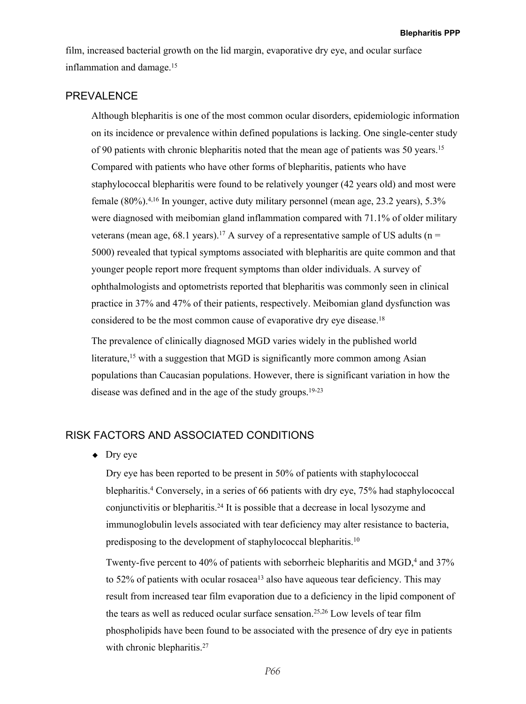film, increased bacterial growth on the lid margin, evaporative dry eye, and ocular surface inflammation and damage.<sup>15</sup>

#### PREVALENCE

Although blepharitis is one of the most common ocular disorders, epidemiologic information on its incidence or prevalence within defined populations is lacking. One single-center study of 90 patients with chronic blepharitis noted that the mean age of patients was 50 years.15 Compared with patients who have other forms of blepharitis, patients who have staphylococcal blepharitis were found to be relatively younger (42 years old) and most were female (80%).4,16 In younger, active duty military personnel (mean age, 23.2 years), 5.3% were diagnosed with meibomian gland inflammation compared with 71.1% of older military veterans (mean age, 68.1 years).<sup>17</sup> A survey of a representative sample of US adults (n = 5000) revealed that typical symptoms associated with blepharitis are quite common and that younger people report more frequent symptoms than older individuals. A survey of ophthalmologists and optometrists reported that blepharitis was commonly seen in clinical practice in 37% and 47% of their patients, respectively. Meibomian gland dysfunction was considered to be the most common cause of evaporative dry eye disease.<sup>18</sup>

The prevalence of clinically diagnosed MGD varies widely in the published world literature,<sup>15</sup> with a suggestion that MGD is significantly more common among Asian populations than Caucasian populations. However, there is significant variation in how the disease was defined and in the age of the study groups.19-23

#### RISK FACTORS AND ASSOCIATED CONDITIONS

 $\bullet$  Dry eye

Dry eye has been reported to be present in 50% of patients with staphylococcal blepharitis.4 Conversely, in a series of 66 patients with dry eye, 75% had staphylococcal conjunctivitis or blepharitis.24 It is possible that a decrease in local lysozyme and immunoglobulin levels associated with tear deficiency may alter resistance to bacteria, predisposing to the development of staphylococcal blepharitis.10

Twenty-five percent to 40% of patients with seborrheic blepharitis and MGD,<sup>4</sup> and 37% to 52% of patients with ocular rosacea<sup>13</sup> also have aqueous tear deficiency. This may result from increased tear film evaporation due to a deficiency in the lipid component of the tears as well as reduced ocular surface sensation.25,26 Low levels of tear film phospholipids have been found to be associated with the presence of dry eye in patients with chronic blepharitis.<sup>27</sup>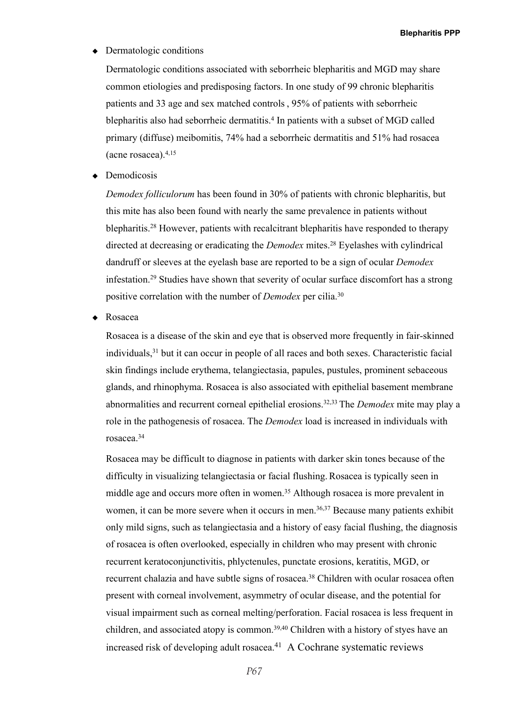#### • Dermatologic conditions

Dermatologic conditions associated with seborrheic blepharitis and MGD may share common etiologies and predisposing factors. In one study of 99 chronic blepharitis patients and 33 age and sex matched controls , 95% of patients with seborrheic blepharitis also had seborrheic dermatitis.<sup>4</sup> In patients with a subset of MGD called primary (diffuse) meibomitis, 74% had a seborrheic dermatitis and 51% had rosacea (acne rosacea).4,15

• Demodicosis

*Demodex folliculorum* has been found in 30% of patients with chronic blepharitis, but this mite has also been found with nearly the same prevalence in patients without blepharitis.28 However, patients with recalcitrant blepharitis have responded to therapy directed at decreasing or eradicating the *Demodex* mites.28 Eyelashes with cylindrical dandruff or sleeves at the eyelash base are reported to be a sign of ocular *Demodex* infestation.29 Studies have shown that severity of ocular surface discomfort has a strong positive correlation with the number of *Demodex* per cilia.30

◆ Rosacea

Rosacea is a disease of the skin and eye that is observed more frequently in fair-skinned individuals,31 but it can occur in people of all races and both sexes. Characteristic facial skin findings include erythema, telangiectasia, papules, pustules, prominent sebaceous glands, and rhinophyma. Rosacea is also associated with epithelial basement membrane abnormalities and recurrent corneal epithelial erosions.32,33 The *Demodex* mite may play a role in the pathogenesis of rosacea. The *Demodex* load is increased in individuals with rosacea.34

Rosacea may be difficult to diagnose in patients with darker skin tones because of the difficulty in visualizing telangiectasia or facial flushing.Rosacea is typically seen in middle age and occurs more often in women.<sup>35</sup> Although rosacea is more prevalent in women, it can be more severe when it occurs in men.<sup>36,37</sup> Because many patients exhibit only mild signs, such as telangiectasia and a history of easy facial flushing, the diagnosis of rosacea is often overlooked, especially in children who may present with chronic recurrent keratoconjunctivitis, phlyctenules, punctate erosions, keratitis, MGD, or recurrent chalazia and have subtle signs of rosacea.<sup>38</sup> Children with ocular rosacea often present with corneal involvement, asymmetry of ocular disease, and the potential for visual impairment such as corneal melting/perforation. Facial rosacea is less frequent in children, and associated atopy is common.<sup>39,40</sup> Children with a history of styes have an increased risk of developing adult rosacea.<sup>41</sup> A Cochrane systematic reviews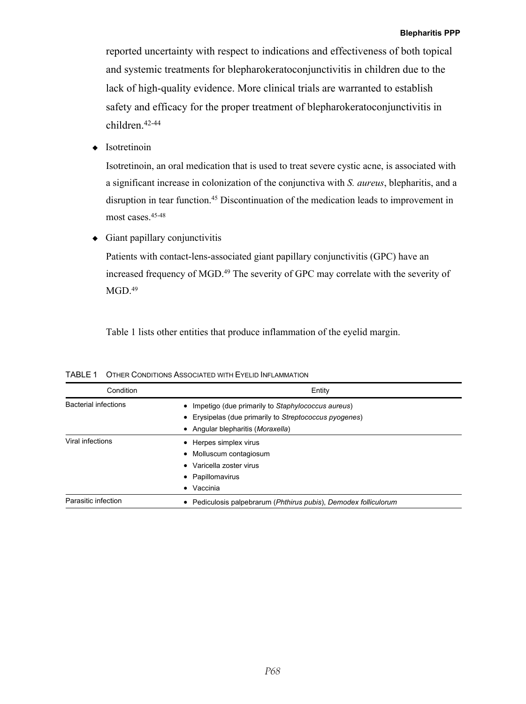reported uncertainty with respect to indications and effectiveness of both topical and systemic treatments for blepharokeratoconjunctivitis in children due to the lack of high-quality evidence. More clinical trials are warranted to establish safety and efficacy for the proper treatment of blepharokeratoconjunctivitis in children.42-44

• Isotretinoin

Isotretinoin, an oral medication that is used to treat severe cystic acne, is associated with a significant increase in colonization of the conjunctiva with *S. aureus*, blepharitis, and a disruption in tear function.45 Discontinuation of the medication leads to improvement in most cases.<sup>45-48</sup>

Giant papillary conjunctivitis

Patients with contact-lens-associated giant papillary conjunctivitis (GPC) have an increased frequency of MGD.49 The severity of GPC may correlate with the severity of  $MGD<sub>.49</sub>$ 

Table 1 lists other entities that produce inflammation of the eyelid margin.

| Condition                   | Entity                                                           |  |
|-----------------------------|------------------------------------------------------------------|--|
| <b>Bacterial infections</b> | Impetigo (due primarily to Staphylococcus aureus)<br>٠           |  |
|                             | • Erysipelas (due primarily to Streptococcus pyogenes)           |  |
|                             | • Angular blepharitis (Moraxella)                                |  |
| Viral infections            | • Herpes simplex virus                                           |  |
|                             | • Molluscum contagiosum                                          |  |
|                             | • Varicella zoster virus                                         |  |
|                             | • Papillomavirus                                                 |  |
|                             | • Vaccinia                                                       |  |
| Parasitic infection         | • Pediculosis palpebrarum (Phthirus pubis), Demodex folliculorum |  |

TABLE 1 OTHER CONDITIONS ASSOCIATED WITH EYELID INFLAMMATION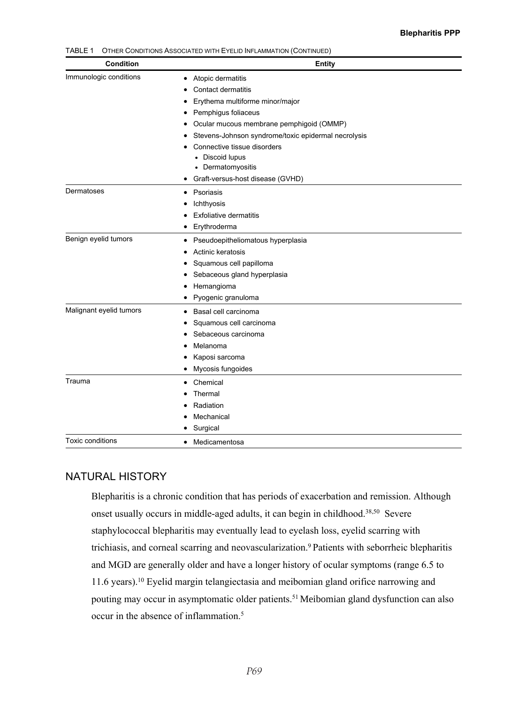TABLE 1 OTHER CONDITIONS ASSOCIATED WITH EYELID INFLAMMATION (CONTINUED)

| <b>Condition</b>        | <b>Entity</b>                                       |  |  |
|-------------------------|-----------------------------------------------------|--|--|
| Immunologic conditions  | Atopic dermatitis<br>٠                              |  |  |
|                         | <b>Contact dermatitis</b>                           |  |  |
|                         | Erythema multiforme minor/major                     |  |  |
|                         | Pemphigus foliaceus                                 |  |  |
|                         | Ocular mucous membrane pemphigoid (OMMP)            |  |  |
|                         | Stevens-Johnson syndrome/toxic epidermal necrolysis |  |  |
|                         | Connective tissue disorders                         |  |  |
|                         | • Discoid lupus                                     |  |  |
|                         | • Dermatomyositis                                   |  |  |
|                         | Graft-versus-host disease (GVHD)                    |  |  |
| Dermatoses              | Psoriasis                                           |  |  |
|                         | Ichthyosis                                          |  |  |
|                         | <b>Exfoliative dermatitis</b>                       |  |  |
|                         | Erythroderma                                        |  |  |
| Benign eyelid tumors    | Pseudoepitheliomatous hyperplasia<br>٠              |  |  |
|                         | Actinic keratosis                                   |  |  |
|                         | Squamous cell papilloma                             |  |  |
|                         | Sebaceous gland hyperplasia                         |  |  |
|                         | Hemangioma                                          |  |  |
|                         | Pyogenic granuloma                                  |  |  |
| Malignant eyelid tumors | Basal cell carcinoma                                |  |  |
|                         | Squamous cell carcinoma                             |  |  |
|                         | Sebaceous carcinoma                                 |  |  |
|                         | Melanoma                                            |  |  |
|                         | Kaposi sarcoma                                      |  |  |
|                         | Mycosis fungoides                                   |  |  |
| Trauma                  | Chemical                                            |  |  |
|                         | Thermal                                             |  |  |
|                         | Radiation                                           |  |  |
|                         | Mechanical                                          |  |  |
|                         | Surgical                                            |  |  |
| <b>Toxic conditions</b> | Medicamentosa<br>٠                                  |  |  |

#### NATURAL HISTORY

Blepharitis is a chronic condition that has periods of exacerbation and remission. Although onset usually occurs in middle-aged adults, it can begin in childhood.38,50 Severe staphylococcal blepharitis may eventually lead to eyelash loss, eyelid scarring with trichiasis, and corneal scarring and neovascularization.9 Patients with seborrheic blepharitis and MGD are generally older and have a longer history of ocular symptoms (range 6.5 to 11.6 years).10 Eyelid margin telangiectasia and meibomian gland orifice narrowing and pouting may occur in asymptomatic older patients.<sup>51</sup> Meibomian gland dysfunction can also occur in the absence of inflammation.5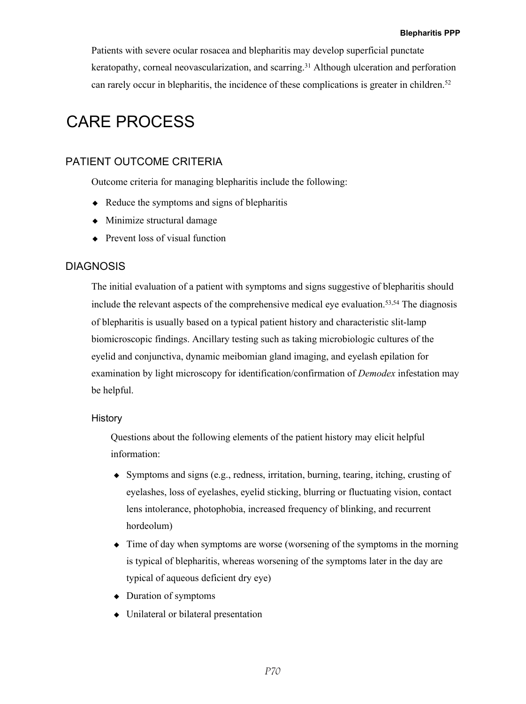Patients with severe ocular rosacea and blepharitis may develop superficial punctate keratopathy, corneal neovascularization, and scarring.<sup>31</sup> Although ulceration and perforation can rarely occur in blepharitis, the incidence of these complications is greater in children.52

# CARE PROCESS

#### PATIENT OUTCOME CRITERIA

Outcome criteria for managing blepharitis include the following:

- Reduce the symptoms and signs of blepharitis
- Minimize structural damage
- Prevent loss of visual function

#### **DIAGNOSIS**

The initial evaluation of a patient with symptoms and signs suggestive of blepharitis should include the relevant aspects of the comprehensive medical eye evaluation.<sup>53,54</sup> The diagnosis of blepharitis is usually based on a typical patient history and characteristic slit-lamp biomicroscopic findings. Ancillary testing such as taking microbiologic cultures of the eyelid and conjunctiva, dynamic meibomian gland imaging, and eyelash epilation for examination by light microscopy for identification/confirmation of *Demodex* infestation may be helpful.

#### **History**

Questions about the following elements of the patient history may elicit helpful information:

- $\bullet$  Symptoms and signs (e.g., redness, irritation, burning, tearing, itching, crusting of eyelashes, loss of eyelashes, eyelid sticking, blurring or fluctuating vision, contact lens intolerance, photophobia, increased frequency of blinking, and recurrent hordeolum)
- Time of day when symptoms are worse (worsening of the symptoms in the morning is typical of blepharitis, whereas worsening of the symptoms later in the day are typical of aqueous deficient dry eye)
- Duration of symptoms
- Unilateral or bilateral presentation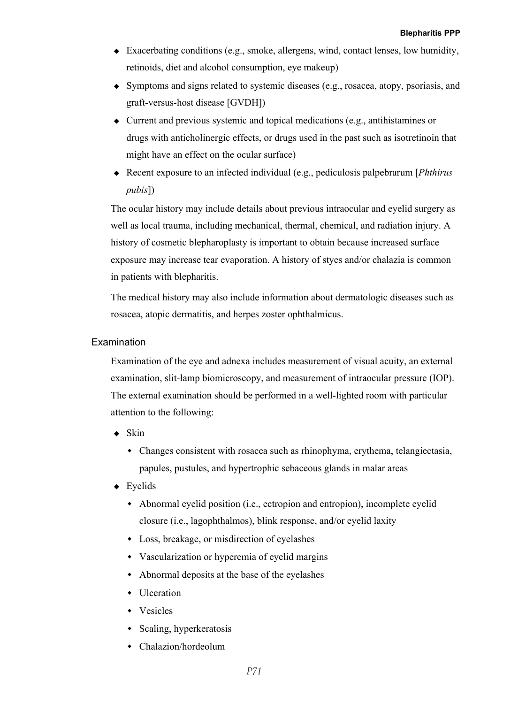- $\bullet$  Exacerbating conditions (e.g., smoke, allergens, wind, contact lenses, low humidity, retinoids, diet and alcohol consumption, eye makeup)
- $\bullet$  Symptoms and signs related to systemic diseases (e.g., rosacea, atopy, psoriasis, and graft-versus-host disease [GVDH])
- Current and previous systemic and topical medications (e.g., antihistamines or drugs with anticholinergic effects, or drugs used in the past such as isotretinoin that might have an effect on the ocular surface)
- Recent exposure to an infected individual (e.g., pediculosis palpebrarum [*Phthirus pubis*])

The ocular history may include details about previous intraocular and eyelid surgery as well as local trauma, including mechanical, thermal, chemical, and radiation injury. A history of cosmetic blepharoplasty is important to obtain because increased surface exposure may increase tear evaporation. A history of styes and/or chalazia is common in patients with blepharitis.

The medical history may also include information about dermatologic diseases such as rosacea, atopic dermatitis, and herpes zoster ophthalmicus.

#### **Examination**

Examination of the eye and adnexa includes measurement of visual acuity, an external examination, slit-lamp biomicroscopy, and measurement of intraocular pressure (IOP). The external examination should be performed in a well-lighted room with particular attention to the following:

- $\bullet$  Skin
	- Changes consistent with rosacea such as rhinophyma, erythema, telangiectasia, papules, pustules, and hypertrophic sebaceous glands in malar areas
- $\triangle$  Eyelids
	- Abnormal eyelid position (i.e., ectropion and entropion), incomplete eyelid closure (i.e., lagophthalmos), blink response, and/or eyelid laxity
	- Loss, breakage, or misdirection of eyelashes
	- Vascularization or hyperemia of eyelid margins
	- Abnormal deposits at the base of the eyelashes
	- Ulceration
	- Vesicles
	- $\bullet$  Scaling, hyperkeratosis
	- Chalazion/hordeolum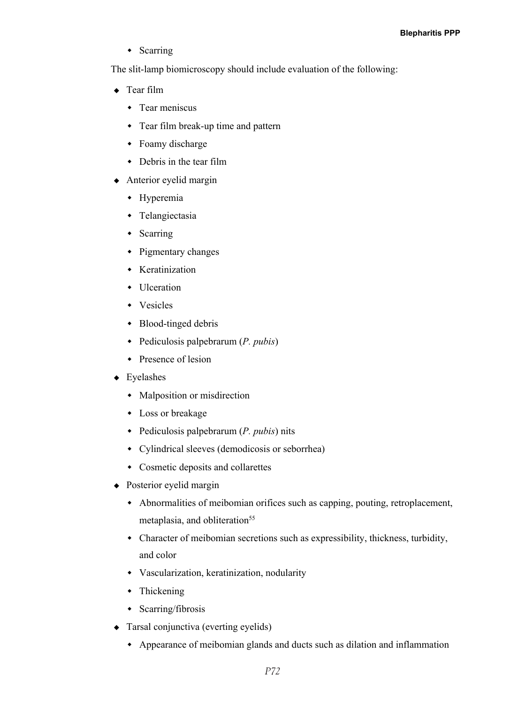• Scarring

The slit-lamp biomicroscopy should include evaluation of the following:

- ◆ Tear film
	- Tear meniscus
	- Tear film break-up time and pattern
	- Foamy discharge
	- Debris in the tear film
- Anterior eyelid margin
	- Hyperemia
	- Telangiectasia
	- $\triangleleft$  Scarring
	- Pigmentary changes
	- Keratinization
	- Ulceration
	- Vesicles
	- Blood-tinged debris
	- Pediculosis palpebrarum (*P. pubis*)
	- Presence of lesion
- ◆ Eyelashes
	- Malposition or misdirection
	- Loss or breakage
	- Pediculosis palpebrarum (*P. pubis*) nits
	- Cylindrical sleeves (demodicosis or seborrhea)
	- Cosmetic deposits and collarettes
- Posterior eyelid margin
	- Abnormalities of meibomian orifices such as capping, pouting, retroplacement, metaplasia, and obliteration<sup>55</sup>
	- Character of meibomian secretions such as expressibility, thickness, turbidity, and color
	- Vascularization, keratinization, nodularity
	- Thickening
	- Scarring/fibrosis
- Tarsal conjunctiva (everting eyelids)
	- Appearance of meibomian glands and ducts such as dilation and inflammation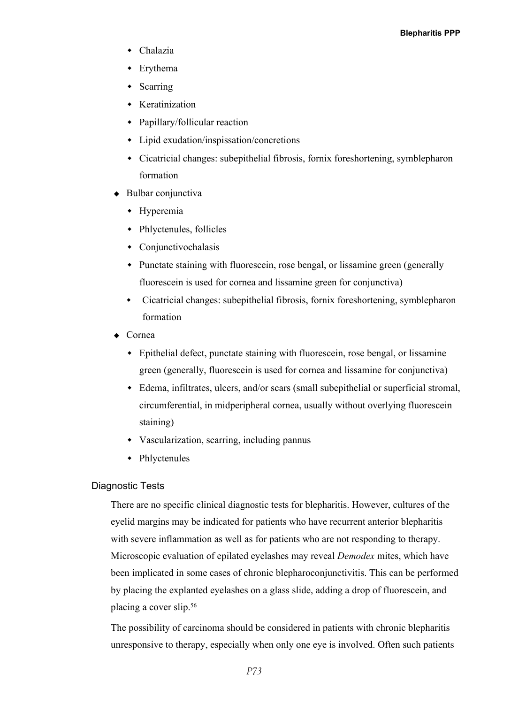- Chalazia
- Erythema
- $\bullet$  Scarring
- Keratinization
- Papillary/follicular reaction
- Lipid exudation/inspissation/concretions
- Cicatricial changes: subepithelial fibrosis, fornix foreshortening, symblepharon formation
- $\triangleleft$  Bulbar conjunctiva
	- Hyperemia
	- Phlyctenules, follicles
	- Conjunctivochalasis
	- Punctate staining with fluorescein, rose bengal, or lissamine green (generally fluorescein is used for cornea and lissamine green for conjunctiva)
	- Cicatricial changes: subepithelial fibrosis, fornix foreshortening, symblepharon formation
- ◆ Cornea
	- Epithelial defect, punctate staining with fluorescein, rose bengal, or lissamine green (generally, fluorescein is used for cornea and lissamine for conjunctiva)
	- Edema, infiltrates, ulcers, and/or scars (small subepithelial or superficial stromal, circumferential, in midperipheral cornea, usually without overlying fluorescein staining)
	- Vascularization, scarring, including pannus
	- Phlyctenules

#### Diagnostic Tests

There are no specific clinical diagnostic tests for blepharitis. However, cultures of the eyelid margins may be indicated for patients who have recurrent anterior blepharitis with severe inflammation as well as for patients who are not responding to therapy. Microscopic evaluation of epilated eyelashes may reveal *Demodex* mites, which have been implicated in some cases of chronic blepharoconjunctivitis. This can be performed by placing the explanted eyelashes on a glass slide, adding a drop of fluorescein, and placing a cover slip.56

The possibility of carcinoma should be considered in patients with chronic blepharitis unresponsive to therapy, especially when only one eye is involved. Often such patients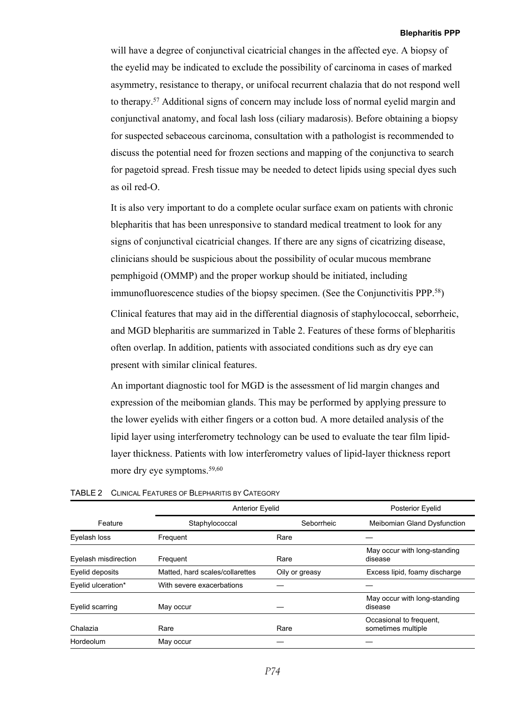will have a degree of conjunctival cicatricial changes in the affected eye. A biopsy of the eyelid may be indicated to exclude the possibility of carcinoma in cases of marked asymmetry, resistance to therapy, or unifocal recurrent chalazia that do not respond well to therapy.57 Additional signs of concern may include loss of normal eyelid margin and conjunctival anatomy, and focal lash loss (ciliary madarosis). Before obtaining a biopsy for suspected sebaceous carcinoma, consultation with a pathologist is recommended to discuss the potential need for frozen sections and mapping of the conjunctiva to search for pagetoid spread. Fresh tissue may be needed to detect lipids using special dyes such as oil red-O.

It is also very important to do a complete ocular surface exam on patients with chronic blepharitis that has been unresponsive to standard medical treatment to look for any signs of conjunctival cicatricial changes. If there are any signs of cicatrizing disease, clinicians should be suspicious about the possibility of ocular mucous membrane pemphigoid (OMMP) and the proper workup should be initiated, including immunofluorescence studies of the biopsy specimen. (See the Conjunctivitis PPP.58)

Clinical features that may aid in the differential diagnosis of staphylococcal, seborrheic, and MGD blepharitis are summarized in Table 2. Features of these forms of blepharitis often overlap. In addition, patients with associated conditions such as dry eye can present with similar clinical features.

An important diagnostic tool for MGD is the assessment of lid margin changes and expression of the meibomian glands. This may be performed by applying pressure to the lower eyelids with either fingers or a cotton bud. A more detailed analysis of the lipid layer using interferometry technology can be used to evaluate the tear film lipidlayer thickness. Patients with low interferometry values of lipid-layer thickness report more dry eye symptoms.59,60

|                      | <b>Anterior Eyelid</b>          |                | <b>Posterior Eyelid</b>                       |
|----------------------|---------------------------------|----------------|-----------------------------------------------|
| Feature              | Staphylococcal                  | Seborrheic     | Meibomian Gland Dysfunction                   |
| Eyelash loss         | Frequent                        | Rare           |                                               |
| Eyelash misdirection | Frequent                        | Rare           | May occur with long-standing<br>disease       |
| Eyelid deposits      | Matted, hard scales/collarettes | Oily or greasy | Excess lipid, foamy discharge                 |
| Evelid ulceration*   | With severe exacerbations       |                |                                               |
| Eyelid scarring      | May occur                       |                | May occur with long-standing<br>disease       |
| Chalazia             | Rare                            | Rare           | Occasional to frequent.<br>sometimes multiple |
| Hordeolum            | May occur                       |                |                                               |

#### TABLE 2 CLINICAL FEATURES OF BLEPHARITIS BY CATEGORY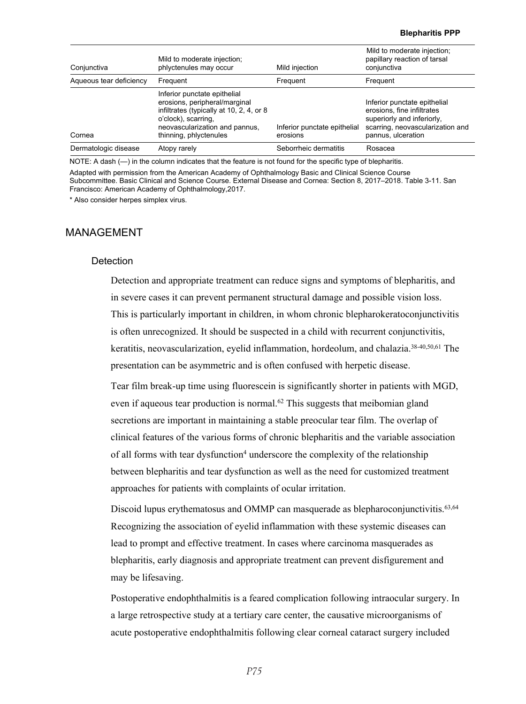| Conjunctiva             | Mild to moderate injection;<br>phlyctenules may occur                                                                                                                                         | Mild injection                           | Mild to moderate injection;<br>papillary reaction of tarsal<br>conjunctiva                                                                         |
|-------------------------|-----------------------------------------------------------------------------------------------------------------------------------------------------------------------------------------------|------------------------------------------|----------------------------------------------------------------------------------------------------------------------------------------------------|
| Aqueous tear deficiency | Frequent                                                                                                                                                                                      | Frequent                                 | Frequent                                                                                                                                           |
| Cornea                  | Inferior punctate epithelial<br>erosions, peripheral/marginal<br>infiltrates (typically at 10, 2, 4, or 8)<br>o'clock), scarring,<br>neovascularization and pannus,<br>thinning, phlyctenules | Inferior punctate epithelial<br>erosions | Inferior punctate epithelial<br>erosions, fine infiltrates<br>superiorly and inferiorly,<br>scarring, neovascularization and<br>pannus, ulceration |
| Dermatologic disease    | Atopy rarely                                                                                                                                                                                  | Seborrheic dermatitis                    | Rosacea                                                                                                                                            |

NOTE: A dash (—) in the column indicates that the feature is not found for the specific type of blepharitis.

Adapted with permission from the American Academy of Ophthalmology Basic and Clinical Science Course Subcommittee. Basic Clinical and Science Course. External Disease and Cornea: Section 8, 2017–2018. Table 3-11. San Francisco: American Academy of Ophthalmology,2017.

\* Also consider herpes simplex virus.

#### MANAGEMENT

#### **Detection**

Detection and appropriate treatment can reduce signs and symptoms of blepharitis, and in severe cases it can prevent permanent structural damage and possible vision loss. This is particularly important in children, in whom chronic blepharokeratoconjunctivitis is often unrecognized. It should be suspected in a child with recurrent conjunctivitis, keratitis, neovascularization, eyelid inflammation, hordeolum, and chalazia.38-40,50,61 The presentation can be asymmetric and is often confused with herpetic disease.

Tear film break-up time using fluorescein is significantly shorter in patients with MGD, even if aqueous tear production is normal.<sup>62</sup> This suggests that meibomian gland secretions are important in maintaining a stable preocular tear film. The overlap of clinical features of the various forms of chronic blepharitis and the variable association of all forms with tear dysfunction<sup>4</sup> underscore the complexity of the relationship between blepharitis and tear dysfunction as well as the need for customized treatment approaches for patients with complaints of ocular irritation.

Discoid lupus erythematosus and OMMP can masquerade as blepharoconjunctivitis.<sup>63,64</sup> Recognizing the association of eyelid inflammation with these systemic diseases can lead to prompt and effective treatment. In cases where carcinoma masquerades as blepharitis, early diagnosis and appropriate treatment can prevent disfigurement and may be lifesaving.

Postoperative endophthalmitis is a feared complication following intraocular surgery. In a large retrospective study at a tertiary care center, the causative microorganisms of acute postoperative endophthalmitis following clear corneal cataract surgery included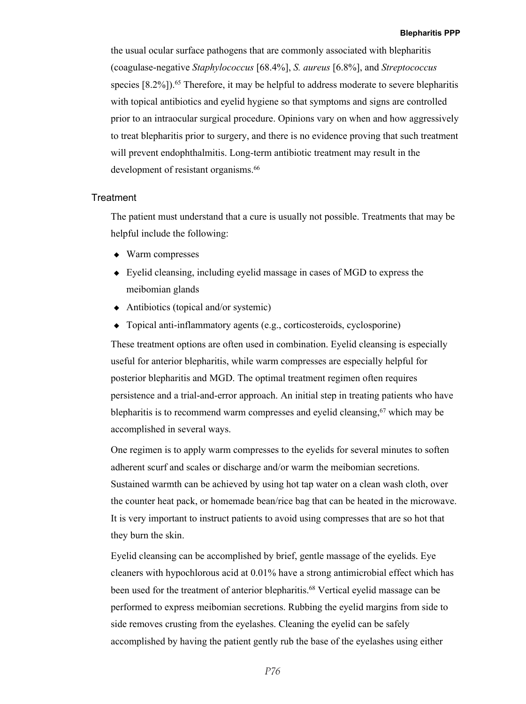the usual ocular surface pathogens that are commonly associated with blepharitis (coagulase-negative *Staphylococcus* [68.4%], *S. aureus* [6.8%], and *Streptococcus* species  $[8.2\%/]$ .<sup>65</sup> Therefore, it may be helpful to address moderate to severe blepharitis with topical antibiotics and eyelid hygiene so that symptoms and signs are controlled prior to an intraocular surgical procedure. Opinions vary on when and how aggressively to treat blepharitis prior to surgery, and there is no evidence proving that such treatment will prevent endophthalmitis. Long-term antibiotic treatment may result in the development of resistant organisms.<sup>66</sup>

#### **Treatment**

The patient must understand that a cure is usually not possible. Treatments that may be helpful include the following:

- Warm compresses
- Eyelid cleansing, including eyelid massage in cases of MGD to express the meibomian glands
- $\triangle$  Antibiotics (topical and/or systemic)
- Topical anti-inflammatory agents (e.g., corticosteroids, cyclosporine)

These treatment options are often used in combination. Eyelid cleansing is especially useful for anterior blepharitis, while warm compresses are especially helpful for posterior blepharitis and MGD. The optimal treatment regimen often requires persistence and a trial-and-error approach. An initial step in treating patients who have blepharitis is to recommend warm compresses and eyelid cleansing,  $67$  which may be accomplished in several ways.

One regimen is to apply warm compresses to the eyelids for several minutes to soften adherent scurf and scales or discharge and/or warm the meibomian secretions. Sustained warmth can be achieved by using hot tap water on a clean wash cloth, over the counter heat pack, or homemade bean/rice bag that can be heated in the microwave. It is very important to instruct patients to avoid using compresses that are so hot that they burn the skin.

Eyelid cleansing can be accomplished by brief, gentle massage of the eyelids. Eye cleaners with hypochlorous acid at 0.01% have a strong antimicrobial effect which has been used for the treatment of anterior blepharitis.<sup>68</sup> Vertical eyelid massage can be performed to express meibomian secretions. Rubbing the eyelid margins from side to side removes crusting from the eyelashes. Cleaning the eyelid can be safely accomplished by having the patient gently rub the base of the eyelashes using either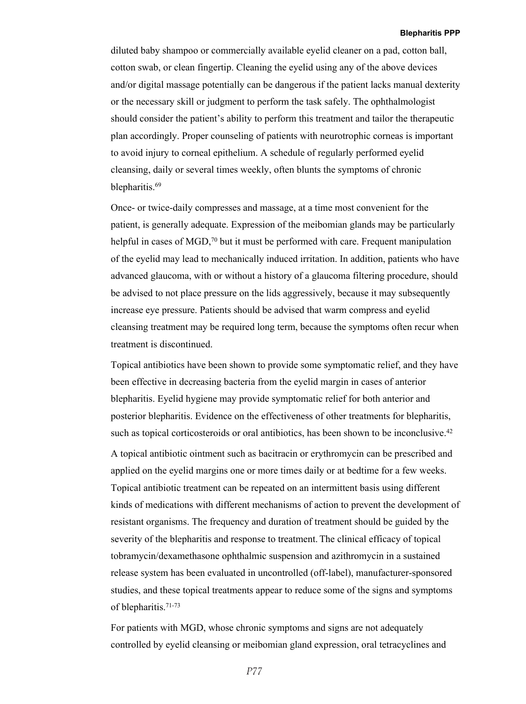diluted baby shampoo or commercially available eyelid cleaner on a pad, cotton ball, cotton swab, or clean fingertip. Cleaning the eyelid using any of the above devices and/or digital massage potentially can be dangerous if the patient lacks manual dexterity or the necessary skill or judgment to perform the task safely. The ophthalmologist should consider the patient's ability to perform this treatment and tailor the therapeutic plan accordingly. Proper counseling of patients with neurotrophic corneas is important to avoid injury to corneal epithelium. A schedule of regularly performed eyelid cleansing, daily or several times weekly, often blunts the symptoms of chronic blepharitis.<sup>69</sup>

Once- or twice-daily compresses and massage, at a time most convenient for the patient, is generally adequate. Expression of the meibomian glands may be particularly helpful in cases of MGD, $\frac{70}{2}$  but it must be performed with care. Frequent manipulation of the eyelid may lead to mechanically induced irritation. In addition, patients who have advanced glaucoma, with or without a history of a glaucoma filtering procedure, should be advised to not place pressure on the lids aggressively, because it may subsequently increase eye pressure. Patients should be advised that warm compress and eyelid cleansing treatment may be required long term, because the symptoms often recur when treatment is discontinued.

Topical antibiotics have been shown to provide some symptomatic relief, and they have been effective in decreasing bacteria from the eyelid margin in cases of anterior blepharitis. Eyelid hygiene may provide symptomatic relief for both anterior and posterior blepharitis. Evidence on the effectiveness of other treatments for blepharitis, such as topical corticosteroids or oral antibiotics, has been shown to be inconclusive.<sup>42</sup>

A topical antibiotic ointment such as bacitracin or erythromycin can be prescribed and applied on the eyelid margins one or more times daily or at bedtime for a few weeks. Topical antibiotic treatment can be repeated on an intermittent basis using different kinds of medications with different mechanisms of action to prevent the development of resistant organisms. The frequency and duration of treatment should be guided by the severity of the blepharitis and response to treatment. The clinical efficacy of topical tobramycin/dexamethasone ophthalmic suspension and azithromycin in a sustained release system has been evaluated in uncontrolled (off-label), manufacturer-sponsored studies, and these topical treatments appear to reduce some of the signs and symptoms of blepharitis.71-73

For patients with MGD, whose chronic symptoms and signs are not adequately controlled by eyelid cleansing or meibomian gland expression, oral tetracyclines and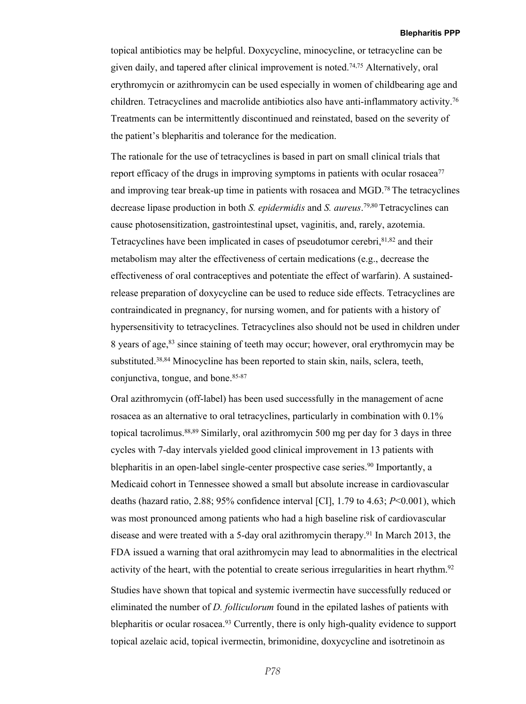topical antibiotics may be helpful. Doxycycline, minocycline, or tetracycline can be given daily, and tapered after clinical improvement is noted.<sup>74,75</sup> Alternatively, oral erythromycin or azithromycin can be used especially in women of childbearing age and children. Tetracyclines and macrolide antibiotics also have anti-inflammatory activity.76 Treatments can be intermittently discontinued and reinstated, based on the severity of the patient's blepharitis and tolerance for the medication.

The rationale for the use of tetracyclines is based in part on small clinical trials that report efficacy of the drugs in improving symptoms in patients with ocular rosacea<sup>77</sup> and improving tear break-up time in patients with rosacea and MGD.78 The tetracyclines decrease lipase production in both *S. epidermidis* and *S. aureus*. 79,80 Tetracyclines can cause photosensitization, gastrointestinal upset, vaginitis, and, rarely, azotemia. Tetracyclines have been implicated in cases of pseudotumor cerebri,  $81,82$  and their metabolism may alter the effectiveness of certain medications (e.g., decrease the effectiveness of oral contraceptives and potentiate the effect of warfarin). A sustainedrelease preparation of doxycycline can be used to reduce side effects. Tetracyclines are contraindicated in pregnancy, for nursing women, and for patients with a history of hypersensitivity to tetracyclines. Tetracyclines also should not be used in children under 8 years of age,83 since staining of teeth may occur; however, oral erythromycin may be substituted.<sup>38,84</sup> Minocycline has been reported to stain skin, nails, sclera, teeth, conjunctiva, tongue, and bone.85-87

Oral azithromycin (off-label) has been used successfully in the management of acne rosacea as an alternative to oral tetracyclines, particularly in combination with 0.1% topical tacrolimus.<sup>88,89</sup> Similarly, oral azithromycin 500 mg per day for 3 days in three cycles with 7-day intervals yielded good clinical improvement in 13 patients with blepharitis in an open-label single-center prospective case series.<sup>90</sup> Importantly, a Medicaid cohort in Tennessee showed a small but absolute increase in cardiovascular deaths (hazard ratio, 2.88; 95% confidence interval [CI], 1.79 to 4.63; *P*<0.001), which was most pronounced among patients who had a high baseline risk of cardiovascular disease and were treated with a 5-day oral azithromycin therapy.91 In March 2013, the FDA issued a warning that oral azithromycin may lead to abnormalities in the electrical activity of the heart, with the potential to create serious irregularities in heart rhythm.<sup>92</sup> Studies have shown that topical and systemic ivermectin have successfully reduced or eliminated the number of *D. folliculorum* found in the epilated lashes of patients with blepharitis or ocular rosacea.<sup>93</sup> Currently, there is only high-quality evidence to support topical azelaic acid, topical ivermectin, brimonidine, doxycycline and isotretinoin as

P<sub>78</sub> P<sub>78</sub>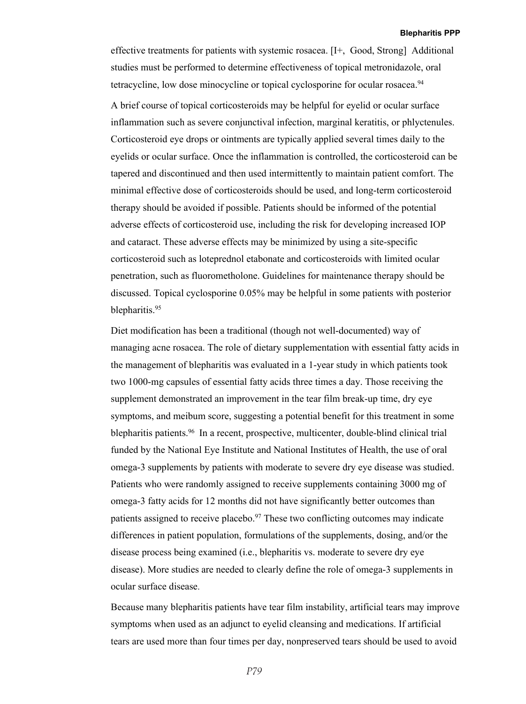effective treatments for patients with systemic rosacea. [I+, Good, Strong] Additional studies must be performed to determine effectiveness of topical metronidazole, oral tetracycline, low dose minocycline or topical cyclosporine for ocular rosacea.<sup>94</sup>

A brief course of topical corticosteroids may be helpful for eyelid or ocular surface inflammation such as severe conjunctival infection, marginal keratitis, or phlyctenules. Corticosteroid eye drops or ointments are typically applied several times daily to the eyelids or ocular surface. Once the inflammation is controlled, the corticosteroid can be tapered and discontinued and then used intermittently to maintain patient comfort. The minimal effective dose of corticosteroids should be used, and long-term corticosteroid therapy should be avoided if possible. Patients should be informed of the potential adverse effects of corticosteroid use, including the risk for developing increased IOP and cataract. These adverse effects may be minimized by using a site-specific corticosteroid such as loteprednol etabonate and corticosteroids with limited ocular penetration, such as fluorometholone. Guidelines for maintenance therapy should be discussed. Topical cyclosporine 0.05% may be helpful in some patients with posterior blepharitis.95

Diet modification has been a traditional (though not well-documented) way of managing acne rosacea. The role of dietary supplementation with essential fatty acids in the management of blepharitis was evaluated in a 1-year study in which patients took two 1000-mg capsules of essential fatty acids three times a day. Those receiving the supplement demonstrated an improvement in the tear film break-up time, dry eye symptoms, and meibum score, suggesting a potential benefit for this treatment in some blepharitis patients.<sup>96</sup> In a recent, prospective, multicenter, double-blind clinical trial funded by the National Eye Institute and National Institutes of Health, the use of oral omega-3 supplements by patients with moderate to severe dry eye disease was studied. Patients who were randomly assigned to receive supplements containing 3000 mg of omega-3 fatty acids for 12 months did not have significantly better outcomes than patients assigned to receive placebo.97 These two conflicting outcomes may indicate differences in patient population, formulations of the supplements, dosing, and/or the disease process being examined (i.e., blepharitis vs. moderate to severe dry eye disease). More studies are needed to clearly define the role of omega-3 supplements in ocular surface disease.

Because many blepharitis patients have tear film instability, artificial tears may improve symptoms when used as an adjunct to eyelid cleansing and medications. If artificial tears are used more than four times per day, nonpreserved tears should be used to avoid

P78 P79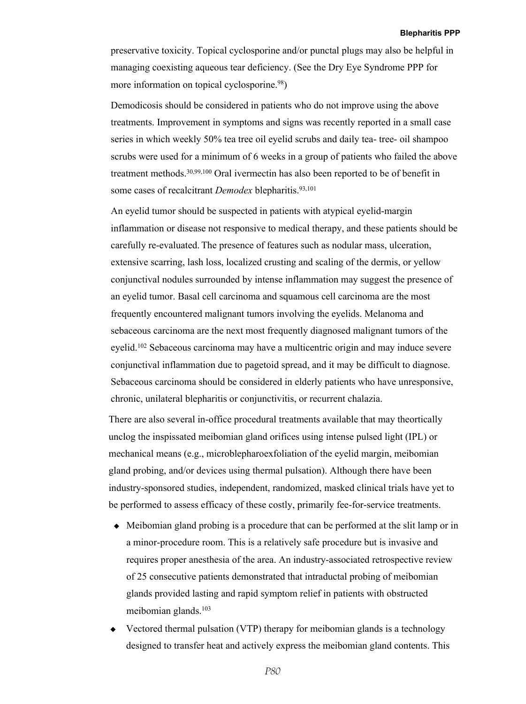preservative toxicity. Topical cyclosporine and/or punctal plugs may also be helpful in managing coexisting aqueous tear deficiency. (See the Dry Eye Syndrome PPP for more information on topical cyclosporine.<sup>98</sup>)

Demodicosis should be considered in patients who do not improve using the above treatments. Improvement in symptoms and signs was recently reported in a small case series in which weekly 50% tea tree oil eyelid scrubs and daily tea- tree- oil shampoo scrubs were used for a minimum of 6 weeks in a group of patients who failed the above treatment methods.30,99,100 Oral ivermectin has also been reported to be of benefit in some cases of recalcitrant *Demodex* blepharitis.<sup>93,101</sup>

An eyelid tumor should be suspected in patients with atypical eyelid-margin inflammation or disease not responsive to medical therapy, and these patients should be carefully re-evaluated. The presence of features such as nodular mass, ulceration, extensive scarring, lash loss, localized crusting and scaling of the dermis, or yellow conjunctival nodules surrounded by intense inflammation may suggest the presence of an eyelid tumor. Basal cell carcinoma and squamous cell carcinoma are the most frequently encountered malignant tumors involving the eyelids. Melanoma and sebaceous carcinoma are the next most frequently diagnosed malignant tumors of the eyelid.102 Sebaceous carcinoma may have a multicentric origin and may induce severe conjunctival inflammation due to pagetoid spread, and it may be difficult to diagnose. Sebaceous carcinoma should be considered in elderly patients who have unresponsive, chronic, unilateral blepharitis or conjunctivitis, or recurrent chalazia.

There are also several in-office procedural treatments available that may theortically unclog the inspissated meibomian gland orifices using intense pulsed light (IPL) or mechanical means (e.g., microblepharoexfoliation of the eyelid margin, meibomian gland probing, and/or devices using thermal pulsation). Although there have been industry-sponsored studies, independent, randomized, masked clinical trials have yet to be performed to assess efficacy of these costly, primarily fee-for-service treatments.

- Meibomian gland probing is a procedure that can be performed at the slit lamp or in a minor-procedure room. This is a relatively safe procedure but is invasive and requires proper anesthesia of the area. An industry-associated retrospective review of 25 consecutive patients demonstrated that intraductal probing of meibomian glands provided lasting and rapid symptom relief in patients with obstructed meibomian glands.103
- Vectored thermal pulsation (VTP) therapy for meibomian glands is a technology designed to transfer heat and actively express the meibomian gland contents. This

P80 P81 P82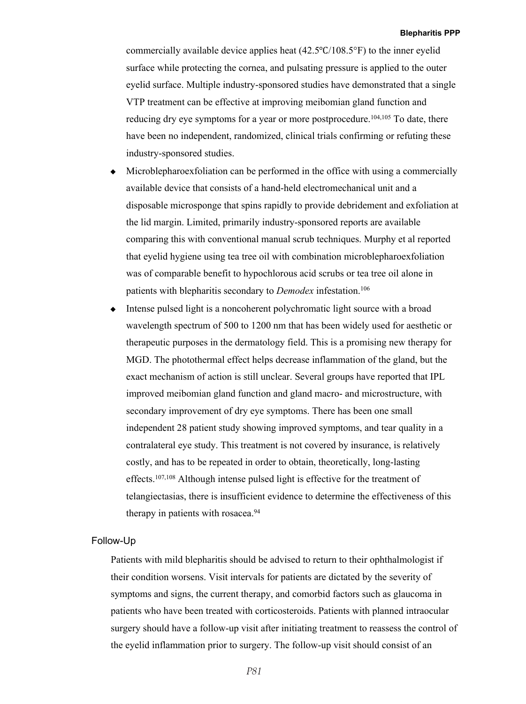commercially available device applies heat (42.5℃/108.5°F) to the inner eyelid surface while protecting the cornea, and pulsating pressure is applied to the outer eyelid surface. Multiple industry-sponsored studies have demonstrated that a single VTP treatment can be effective at improving meibomian gland function and reducing dry eye symptoms for a year or more postprocedure.<sup>104,105</sup> To date, there have been no independent, randomized, clinical trials confirming or refuting these industry-sponsored studies.

- Microblepharoexfoliation can be performed in the office with using a commercially available device that consists of a hand-held electromechanical unit and a disposable microsponge that spins rapidly to provide debridement and exfoliation at the lid margin. Limited, primarily industry-sponsored reports are available comparing this with conventional manual scrub techniques. Murphy et al reported that eyelid hygiene using tea tree oil with combination microblepharoexfoliation was of comparable benefit to hypochlorous acid scrubs or tea tree oil alone in patients with blepharitis secondary to *Demodex* infestation.106
- Intense pulsed light is a noncoherent polychromatic light source with a broad wavelength spectrum of 500 to 1200 nm that has been widely used for aesthetic or therapeutic purposes in the dermatology field. This is a promising new therapy for MGD. The photothermal effect helps decrease inflammation of the gland, but the exact mechanism of action is still unclear. Several groups have reported that IPL improved meibomian gland function and gland macro- and microstructure, with secondary improvement of dry eye symptoms. There has been one small independent 28 patient study showing improved symptoms, and tear quality in a contralateral eye study. This treatment is not covered by insurance, is relatively costly, and has to be repeated in order to obtain, theoretically, long-lasting effects.107,108 Although intense pulsed light is effective for the treatment of telangiectasias, there is insufficient evidence to determine the effectiveness of this therapy in patients with rosacea.<sup>94</sup>

#### Follow-Up

Patients with mild blepharitis should be advised to return to their ophthalmologist if their condition worsens. Visit intervals for patients are dictated by the severity of symptoms and signs, the current therapy, and comorbid factors such as glaucoma in patients who have been treated with corticosteroids. Patients with planned intraocular surgery should have a follow-up visit after initiating treatment to reassess the control of the eyelid inflammation prior to surgery. The follow-up visit should consist of an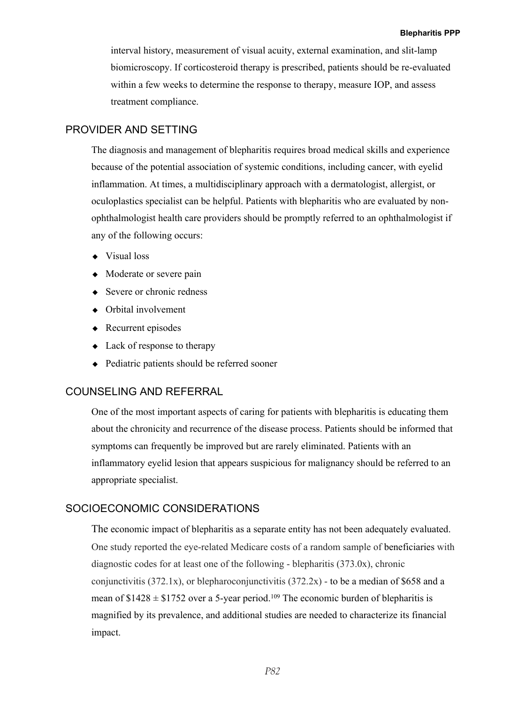interval history, measurement of visual acuity, external examination, and slit-lamp biomicroscopy. If corticosteroid therapy is prescribed, patients should be re-evaluated within a few weeks to determine the response to therapy, measure IOP, and assess treatment compliance.

#### PROVIDER AND SETTING

The diagnosis and management of blepharitis requires broad medical skills and experience because of the potential association of systemic conditions, including cancer, with eyelid inflammation. At times, a multidisciplinary approach with a dermatologist, allergist, or oculoplastics specialist can be helpful. Patients with blepharitis who are evaluated by nonophthalmologist health care providers should be promptly referred to an ophthalmologist if any of the following occurs:

- $\triangle$  Visual loss
- Moderate or severe pain
- ◆ Severe or chronic redness
- Orbital involvement
- ◆ Recurrent episodes
- Lack of response to therapy
- ◆ Pediatric patients should be referred sooner

#### COUNSELING AND REFERRAL

One of the most important aspects of caring for patients with blepharitis is educating them about the chronicity and recurrence of the disease process. Patients should be informed that symptoms can frequently be improved but are rarely eliminated. Patients with an inflammatory eyelid lesion that appears suspicious for malignancy should be referred to an appropriate specialist.

#### SOCIOECONOMIC CONSIDERATIONS

The economic impact of blepharitis as a separate entity has not been adequately evaluated. One study reported the eye-related Medicare costs of a random sample of beneficiaries with diagnostic codes for at least one of the following - blepharitis (373.0x), chronic conjunctivitis  $(372.1x)$ , or blepharoconjunctivitis  $(372.2x)$  - to be a median of \$658 and a mean of  $$1428 \pm $1752$  over a 5-year period.<sup>109</sup> The economic burden of blepharitis is magnified by its prevalence, and additional studies are needed to characterize its financial impact.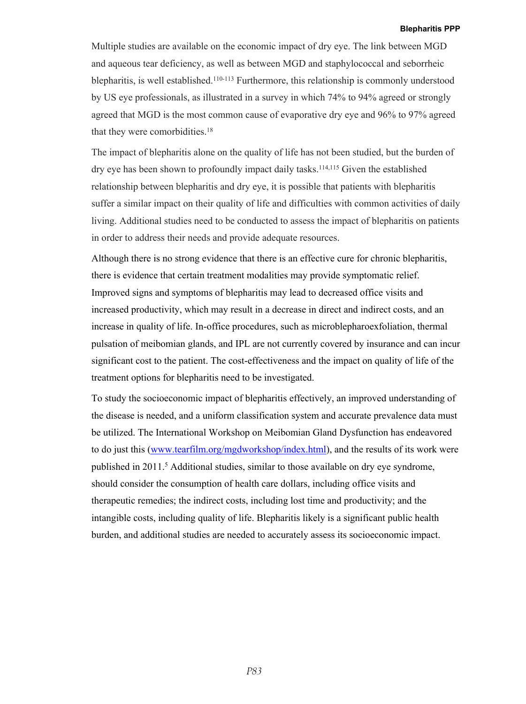Multiple studies are available on the economic impact of dry eye. The link between MGD and aqueous tear deficiency, as well as between MGD and staphylococcal and seborrheic blepharitis, is well established.<sup>110-113</sup> Furthermore, this relationship is commonly understood by US eye professionals, as illustrated in a survey in which 74% to 94% agreed or strongly agreed that MGD is the most common cause of evaporative dry eye and 96% to 97% agreed that they were comorbidities.<sup>18</sup>

The impact of blepharitis alone on the quality of life has not been studied, but the burden of dry eye has been shown to profoundly impact daily tasks.<sup>114,115</sup> Given the established relationship between blepharitis and dry eye, it is possible that patients with blepharitis suffer a similar impact on their quality of life and difficulties with common activities of daily living. Additional studies need to be conducted to assess the impact of blepharitis on patients in order to address their needs and provide adequate resources.

Although there is no strong evidence that there is an effective cure for chronic blepharitis, there is evidence that certain treatment modalities may provide symptomatic relief. Improved signs and symptoms of blepharitis may lead to decreased office visits and increased productivity, which may result in a decrease in direct and indirect costs, and an increase in quality of life. In-office procedures, such as microblepharoexfoliation, thermal pulsation of meibomian glands, and IPL are not currently covered by insurance and can incur significant cost to the patient. The cost-effectiveness and the impact on quality of life of the treatment options for blepharitis need to be investigated.

To study the socioeconomic impact of blepharitis effectively, an improved understanding of the disease is needed, and a uniform classification system and accurate prevalence data must be utilized. The International Workshop on Meibomian Gland Dysfunction has endeavored to do just this (www.tearfilm.org/mgdworkshop/index.html), and the results of its work were published in  $2011<sup>5</sup>$  Additional studies, similar to those available on dry eye syndrome, should consider the consumption of health care dollars, including office visits and therapeutic remedies; the indirect costs, including lost time and productivity; and the intangible costs, including quality of life. Blepharitis likely is a significant public health burden, and additional studies are needed to accurately assess its socioeconomic impact.

P82 P83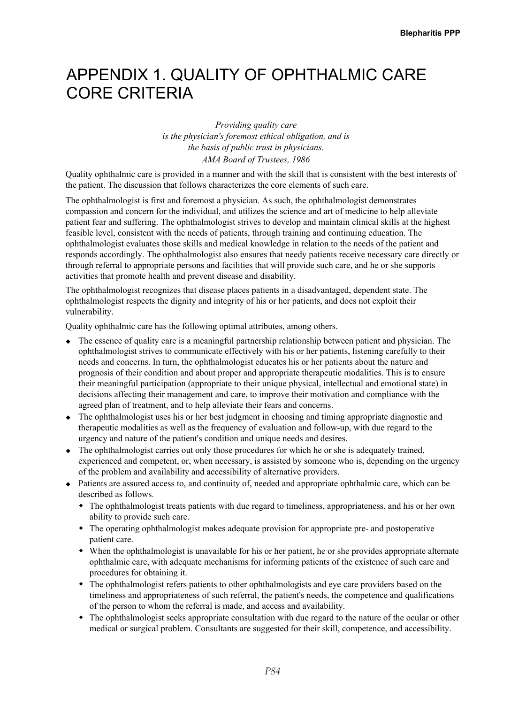# APPENDIX 1. QUALITY OF OPHTHALMIC CARE CORE CRITERIA

*Providing quality care is the physician's foremost ethical obligation, and is the basis of public trust in physicians. AMA Board of Trustees, 1986*

Quality ophthalmic care is provided in a manner and with the skill that is consistent with the best interests of the patient. The discussion that follows characterizes the core elements of such care.

The ophthalmologist is first and foremost a physician. As such, the ophthalmologist demonstrates compassion and concern for the individual, and utilizes the science and art of medicine to help alleviate patient fear and suffering. The ophthalmologist strives to develop and maintain clinical skills at the highest feasible level, consistent with the needs of patients, through training and continuing education. The ophthalmologist evaluates those skills and medical knowledge in relation to the needs of the patient and responds accordingly. The ophthalmologist also ensures that needy patients receive necessary care directly or through referral to appropriate persons and facilities that will provide such care, and he or she supports activities that promote health and prevent disease and disability.

The ophthalmologist recognizes that disease places patients in a disadvantaged, dependent state. The ophthalmologist respects the dignity and integrity of his or her patients, and does not exploit their vulnerability.

Quality ophthalmic care has the following optimal attributes, among others.

- The essence of quality care is a meaningful partnership relationship between patient and physician. The ophthalmologist strives to communicate effectively with his or her patients, listening carefully to their needs and concerns. In turn, the ophthalmologist educates his or her patients about the nature and prognosis of their condition and about proper and appropriate therapeutic modalities. This is to ensure their meaningful participation (appropriate to their unique physical, intellectual and emotional state) in decisions affecting their management and care, to improve their motivation and compliance with the agreed plan of treatment, and to help alleviate their fears and concerns.
- The ophthalmologist uses his or her best judgment in choosing and timing appropriate diagnostic and therapeutic modalities as well as the frequency of evaluation and follow-up, with due regard to the urgency and nature of the patient's condition and unique needs and desires.
- The ophthalmologist carries out only those procedures for which he or she is adequately trained, experienced and competent, or, when necessary, is assisted by someone who is, depending on the urgency of the problem and availability and accessibility of alternative providers.
- Patients are assured access to, and continuity of, needed and appropriate ophthalmic care, which can be described as follows.
	- The ophthalmologist treats patients with due regard to timeliness, appropriateness, and his or her own ability to provide such care.
	- The operating ophthalmologist makes adequate provision for appropriate pre- and postoperative patient care.
	- When the ophthalmologist is unavailable for his or her patient, he or she provides appropriate alternate ophthalmic care, with adequate mechanisms for informing patients of the existence of such care and procedures for obtaining it.
	- The ophthalmologist refers patients to other ophthalmologists and eye care providers based on the timeliness and appropriateness of such referral, the patient's needs, the competence and qualifications of the person to whom the referral is made, and access and availability.
	- The ophthalmologist seeks appropriate consultation with due regard to the nature of the ocular or other medical or surgical problem. Consultants are suggested for their skill, competence, and accessibility.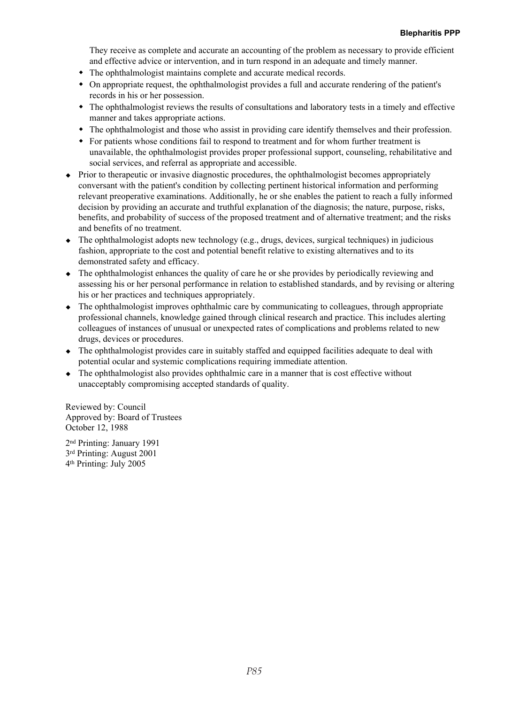They receive as complete and accurate an accounting of the problem as necessary to provide efficient and effective advice or intervention, and in turn respond in an adequate and timely manner.

- The ophthalmologist maintains complete and accurate medical records.
- On appropriate request, the ophthalmologist provides a full and accurate rendering of the patient's records in his or her possession.
- The ophthalmologist reviews the results of consultations and laboratory tests in a timely and effective manner and takes appropriate actions.
- The ophthalmologist and those who assist in providing care identify themselves and their profession.
- For patients whose conditions fail to respond to treatment and for whom further treatment is unavailable, the ophthalmologist provides proper professional support, counseling, rehabilitative and social services, and referral as appropriate and accessible.
- $\rightarrow$  Prior to therapeutic or invasive diagnostic procedures, the ophthalmologist becomes appropriately conversant with the patient's condition by collecting pertinent historical information and performing relevant preoperative examinations. Additionally, he or she enables the patient to reach a fully informed decision by providing an accurate and truthful explanation of the diagnosis; the nature, purpose, risks, benefits, and probability of success of the proposed treatment and of alternative treatment; and the risks and benefits of no treatment.
- $\bullet$  The ophthalmologist adopts new technology (e.g., drugs, devices, surgical techniques) in judicious fashion, appropriate to the cost and potential benefit relative to existing alternatives and to its demonstrated safety and efficacy.
- The ophthalmologist enhances the quality of care he or she provides by periodically reviewing and assessing his or her personal performance in relation to established standards, and by revising or altering his or her practices and techniques appropriately.
- The ophthalmologist improves ophthalmic care by communicating to colleagues, through appropriate professional channels, knowledge gained through clinical research and practice. This includes alerting colleagues of instances of unusual or unexpected rates of complications and problems related to new drugs, devices or procedures.
- The ophthalmologist provides care in suitably staffed and equipped facilities adequate to deal with potential ocular and systemic complications requiring immediate attention.
- The ophthalmologist also provides ophthalmic care in a manner that is cost effective without unacceptably compromising accepted standards of quality.

Reviewed by: Council Approved by: Board of Trustees October 12, 1988

2nd Printing: January 1991 3rd Printing: August 2001 4th Printing: July 2005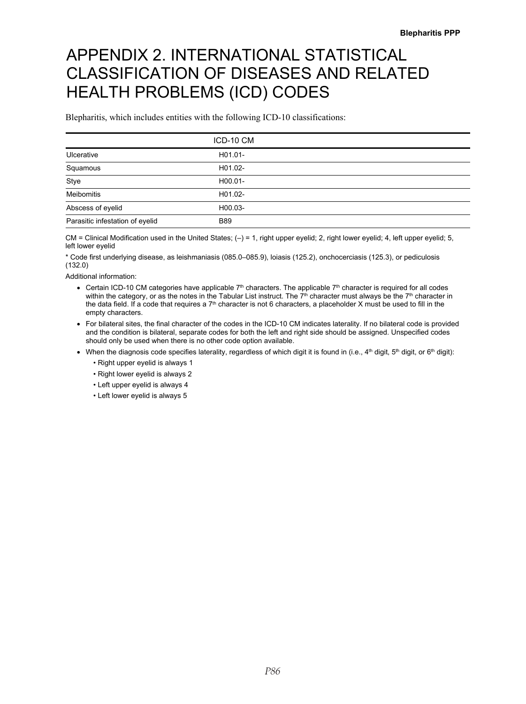# APPENDIX 2. INTERNATIONAL STATISTICAL CLASSIFICATION OF DISEASES AND RELATED HEALTH PROBLEMS (ICD) CODES

Blepharitis, which includes entities with the following ICD-10 classifications:

|                                 | ICD-10 CM  |  |
|---------------------------------|------------|--|
| Ulcerative                      | H01.01-    |  |
| Squamous                        | H01.02-    |  |
| Stye                            | H00.01-    |  |
| <b>Meibomitis</b>               | H01.02-    |  |
| Abscess of eyelid               | H00.03-    |  |
| Parasitic infestation of eyelid | <b>B89</b> |  |

CM = Clinical Modification used in the United States; (–) = 1, right upper eyelid; 2, right lower eyelid; 4, left upper eyelid; 5, left lower eyelid

\* Code first underlying disease, as leishmaniasis (085.0–085.9), loiasis (125.2), onchocerciasis (125.3), or pediculosis (132.0)

Additional information:

- Certain ICD-10 CM categories have applicable  $7<sup>th</sup>$  characters. The applicable  $7<sup>th</sup>$  character is required for all codes within the category, or as the notes in the Tabular List instruct. The  $7<sup>th</sup>$  character must always be the  $7<sup>th</sup>$  character in the data field. If a code that requires a  $7<sup>th</sup>$  character is not 6 characters, a placeholder X must be used to fill in the empty characters.
- For bilateral sites, the final character of the codes in the ICD-10 CM indicates laterality. If no bilateral code is provided and the condition is bilateral, separate codes for both the left and right side should be assigned. Unspecified codes should only be used when there is no other code option available.
- When the diagnosis code specifies laterality, regardless of which digit it is found in (i.e., 4<sup>th</sup> digit, 5<sup>th</sup> digit, or 6<sup>th</sup> digit):
	- Right upper eyelid is always 1
	- Right lower eyelid is always 2
	- Left upper eyelid is always 4
	- Left lower eyelid is always 5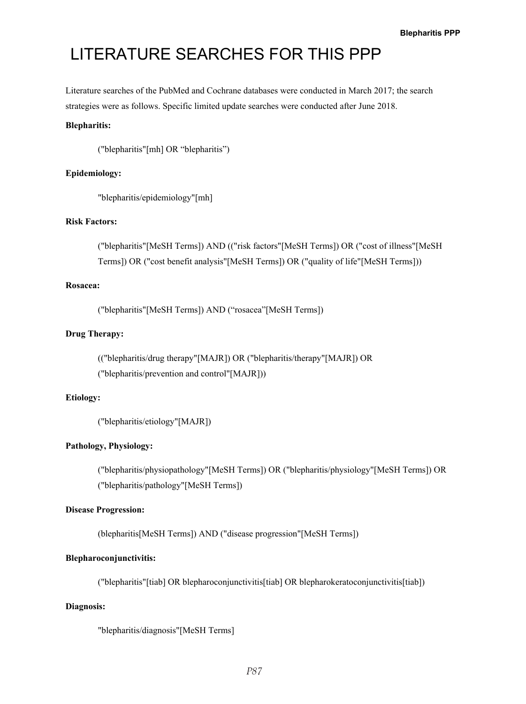### LITERATURE SEARCHES FOR THIS PPP

Literature searches of the PubMed and Cochrane databases were conducted in March 2017; the search strategies were as follows. Specific limited update searches were conducted after June 2018.

#### **Blepharitis:**

("blepharitis"[mh] OR "blepharitis")

#### **Epidemiology:**

"blepharitis/epidemiology"[mh]

#### **Risk Factors:**

("blepharitis"[MeSH Terms]) AND (("risk factors"[MeSH Terms]) OR ("cost of illness"[MeSH Terms]) OR ("cost benefit analysis"[MeSH Terms]) OR ("quality of life"[MeSH Terms]))

#### **Rosacea:**

("blepharitis"[MeSH Terms]) AND ("rosacea"[MeSH Terms])

#### **Drug Therapy:**

(("blepharitis/drug therapy"[MAJR]) OR ("blepharitis/therapy"[MAJR]) OR ("blepharitis/prevention and control"[MAJR]))

#### **Etiology:**

("blepharitis/etiology"[MAJR])

#### **Pathology, Physiology:**

("blepharitis/physiopathology"[MeSH Terms]) OR ("blepharitis/physiology"[MeSH Terms]) OR ("blepharitis/pathology"[MeSH Terms])

#### **Disease Progression:**

(blepharitis[MeSH Terms]) AND ("disease progression"[MeSH Terms])

#### **Blepharoconjunctivitis:**

("blepharitis"[tiab] OR blepharoconjunctivitis[tiab] OR blepharokeratoconjunctivitis[tiab])

#### **Diagnosis:**

"blepharitis/diagnosis"[MeSH Terms]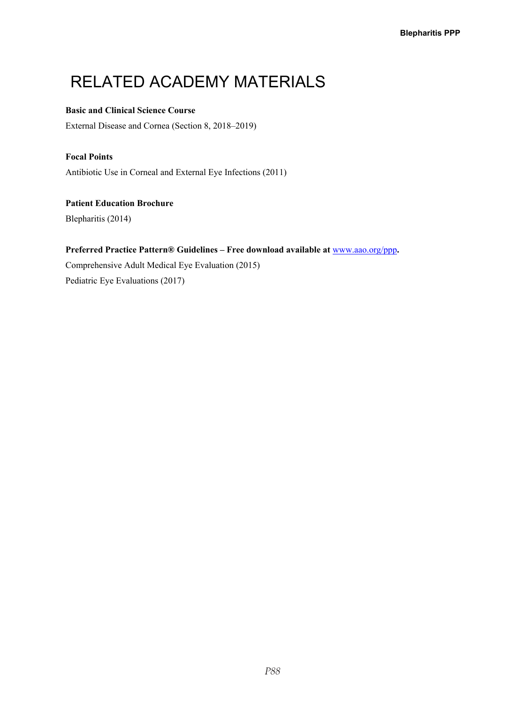# RELATED ACADEMY MATERIALS

#### **Basic and Clinical Science Course**

External Disease and Cornea (Section 8, 2018–2019)

#### **Focal Points**

Antibiotic Use in Corneal and External Eye Infections (2011)

#### **Patient Education Brochure**

Blepharitis (2014)

#### **Preferred Practice Pattern® Guidelines – Free download available at** www.aao.org/ppp**.**

Comprehensive Adult Medical Eye Evaluation (2015) Pediatric Eye Evaluations (2017)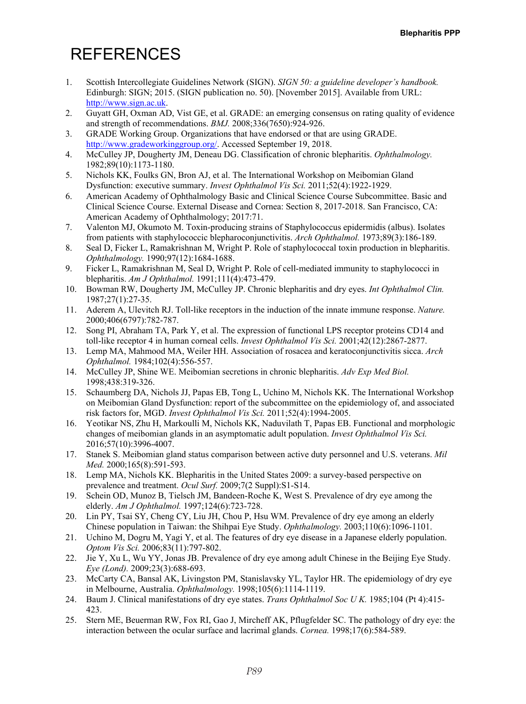### REFERENCES

- 1. Scottish Intercollegiate Guidelines Network (SIGN). *SIGN 50: a guideline developer's handbook.*  Edinburgh: SIGN; 2015. (SIGN publication no. 50). [November 2015]. Available from URL: http://www.sign.ac.uk.
- 2. Guyatt GH, Oxman AD, Vist GE, et al. GRADE: an emerging consensus on rating quality of evidence and strength of recommendations. *BMJ.* 2008;336(7650):924-926.
- 3. GRADE Working Group. Organizations that have endorsed or that are using GRADE. http://www.gradeworkinggroup.org/. Accessed September 19, 2018.
- 4. McCulley JP, Dougherty JM, Deneau DG. Classification of chronic blepharitis. *Ophthalmology.*  1982;89(10):1173-1180.
- 5. Nichols KK, Foulks GN, Bron AJ, et al. The International Workshop on Meibomian Gland Dysfunction: executive summary. *Invest Ophthalmol Vis Sci.* 2011;52(4):1922-1929.
- 6. American Academy of Ophthalmology Basic and Clinical Science Course Subcommittee. Basic and Clinical Science Course. External Disease and Cornea: Section 8, 2017-2018. San Francisco, CA: American Academy of Ophthalmology; 2017:71.
- 7. Valenton MJ, Okumoto M. Toxin-producing strains of Staphylococcus epidermidis (albus). Isolates from patients with staphylococcic blepharoconjunctivitis. *Arch Ophthalmol.* 1973;89(3):186-189.
- 8. Seal D, Ficker L, Ramakrishnan M, Wright P. Role of staphylococcal toxin production in blepharitis. *Ophthalmology.* 1990;97(12):1684-1688.
- 9. Ficker L, Ramakrishnan M, Seal D, Wright P. Role of cell-mediated immunity to staphylococci in blepharitis. *Am J Ophthalmol.* 1991;111(4):473-479.
- 10. Bowman RW, Dougherty JM, McCulley JP. Chronic blepharitis and dry eyes. *Int Ophthalmol Clin.*  1987;27(1):27-35.
- 11. Aderem A, Ulevitch RJ. Toll-like receptors in the induction of the innate immune response. *Nature.*  2000;406(6797):782-787.
- 12. Song PI, Abraham TA, Park Y, et al. The expression of functional LPS receptor proteins CD14 and toll-like receptor 4 in human corneal cells. *Invest Ophthalmol Vis Sci.* 2001;42(12):2867-2877.
- 13. Lemp MA, Mahmood MA, Weiler HH. Association of rosacea and keratoconjunctivitis sicca. *Arch Ophthalmol.* 1984;102(4):556-557.
- 14. McCulley JP, Shine WE. Meibomian secretions in chronic blepharitis. *Adv Exp Med Biol.*  1998;438:319-326.
- 15. Schaumberg DA, Nichols JJ, Papas EB, Tong L, Uchino M, Nichols KK. The International Workshop on Meibomian Gland Dysfunction: report of the subcommittee on the epidemiology of, and associated risk factors for, MGD. *Invest Ophthalmol Vis Sci.* 2011;52(4):1994-2005.
- 16. Yeotikar NS, Zhu H, Markoulli M, Nichols KK, Naduvilath T, Papas EB. Functional and morphologic changes of meibomian glands in an asymptomatic adult population. *Invest Ophthalmol Vis Sci.*  2016;57(10):3996-4007.
- 17. Stanek S. Meibomian gland status comparison between active duty personnel and U.S. veterans. *Mil Med.* 2000;165(8):591-593.
- 18. Lemp MA, Nichols KK. Blepharitis in the United States 2009: a survey-based perspective on prevalence and treatment. *Ocul Surf.* 2009;7(2 Suppl):S1-S14.
- 19. Schein OD, Munoz B, Tielsch JM, Bandeen-Roche K, West S. Prevalence of dry eye among the elderly. *Am J Ophthalmol.* 1997;124(6):723-728.
- 20. Lin PY, Tsai SY, Cheng CY, Liu JH, Chou P, Hsu WM. Prevalence of dry eye among an elderly Chinese population in Taiwan: the Shihpai Eye Study. *Ophthalmology.* 2003;110(6):1096-1101.
- 21. Uchino M, Dogru M, Yagi Y, et al. The features of dry eye disease in a Japanese elderly population. *Optom Vis Sci.* 2006;83(11):797-802.
- 22. Jie Y, Xu L, Wu YY, Jonas JB. Prevalence of dry eye among adult Chinese in the Beijing Eye Study. *Eye (Lond).* 2009;23(3):688-693.
- 23. McCarty CA, Bansal AK, Livingston PM, Stanislavsky YL, Taylor HR. The epidemiology of dry eye in Melbourne, Australia. *Ophthalmology.* 1998;105(6):1114-1119.
- 24. Baum J. Clinical manifestations of dry eye states. *Trans Ophthalmol Soc U K.* 1985;104 (Pt 4):415- 423.
- 25. Stern ME, Beuerman RW, Fox RI, Gao J, Mircheff AK, Pflugfelder SC. The pathology of dry eye: the interaction between the ocular surface and lacrimal glands. *Cornea.* 1998;17(6):584-589.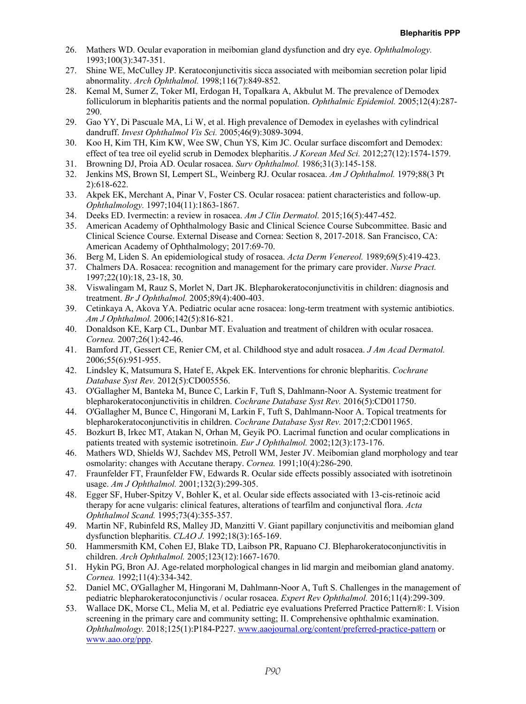- 26. Mathers WD. Ocular evaporation in meibomian gland dysfunction and dry eye. *Ophthalmology.*  1993;100(3):347-351.
- 27. Shine WE, McCulley JP. Keratoconjunctivitis sicca associated with meibomian secretion polar lipid abnormality. *Arch Ophthalmol.* 1998;116(7):849-852.
- 28. Kemal M, Sumer Z, Toker MI, Erdogan H, Topalkara A, Akbulut M. The prevalence of Demodex folliculorum in blepharitis patients and the normal population. *Ophthalmic Epidemiol.* 2005;12(4):287- 290.
- 29. Gao YY, Di Pascuale MA, Li W, et al. High prevalence of Demodex in eyelashes with cylindrical dandruff. *Invest Ophthalmol Vis Sci.* 2005;46(9):3089-3094.
- 30. Koo H, Kim TH, Kim KW, Wee SW, Chun YS, Kim JC. Ocular surface discomfort and Demodex: effect of tea tree oil eyelid scrub in Demodex blepharitis. *J Korean Med Sci.* 2012;27(12):1574-1579.
- 31. Browning DJ, Proia AD. Ocular rosacea. *Surv Ophthalmol.* 1986;31(3):145-158.
- 32. Jenkins MS, Brown SI, Lempert SL, Weinberg RJ. Ocular rosacea. *Am J Ophthalmol.* 1979;88(3 Pt 2):618-622.
- 33. Akpek EK, Merchant A, Pinar V, Foster CS. Ocular rosacea: patient characteristics and follow-up. *Ophthalmology.* 1997;104(11):1863-1867.
- 34. Deeks ED. Ivermectin: a review in rosacea. *Am J Clin Dermatol.* 2015;16(5):447-452.
- 35. American Academy of Ophthalmology Basic and Clinical Science Course Subcommittee. Basic and Clinical Science Course. External Disease and Cornea: Section 8, 2017-2018. San Francisco, CA: American Academy of Ophthalmology; 2017:69-70.
- 36. Berg M, Liden S. An epidemiological study of rosacea. *Acta Derm Venereol.* 1989;69(5):419-423.
- 37. Chalmers DA. Rosacea: recognition and management for the primary care provider. *Nurse Pract.*  1997;22(10):18, 23-18, 30.
- 38. Viswalingam M, Rauz S, Morlet N, Dart JK. Blepharokeratoconjunctivitis in children: diagnosis and treatment. *Br J Ophthalmol.* 2005;89(4):400-403.
- 39. Cetinkaya A, Akova YA. Pediatric ocular acne rosacea: long-term treatment with systemic antibiotics. *Am J Ophthalmol.* 2006;142(5):816-821.
- 40. Donaldson KE, Karp CL, Dunbar MT. Evaluation and treatment of children with ocular rosacea. *Cornea.* 2007;26(1):42-46.
- 41. Bamford JT, Gessert CE, Renier CM, et al. Childhood stye and adult rosacea. *J Am Acad Dermatol.*  2006;55(6):951-955.
- 42. Lindsley K, Matsumura S, Hatef E, Akpek EK. Interventions for chronic blepharitis. *Cochrane Database Syst Rev.* 2012(5):CD005556.
- 43. O'Gallagher M, Banteka M, Bunce C, Larkin F, Tuft S, Dahlmann-Noor A. Systemic treatment for blepharokeratoconjunctivitis in children. *Cochrane Database Syst Rev.* 2016(5):CD011750.
- 44. O'Gallagher M, Bunce C, Hingorani M, Larkin F, Tuft S, Dahlmann-Noor A. Topical treatments for blepharokeratoconjunctivitis in children. *Cochrane Database Syst Rev.* 2017;2:CD011965.
- 45. Bozkurt B, Irkec MT, Atakan N, Orhan M, Geyik PO. Lacrimal function and ocular complications in patients treated with systemic isotretinoin. *Eur J Ophthalmol.* 2002;12(3):173-176.
- 46. Mathers WD, Shields WJ, Sachdev MS, Petroll WM, Jester JV. Meibomian gland morphology and tear osmolarity: changes with Accutane therapy. *Cornea.* 1991;10(4):286-290.
- 47. Fraunfelder FT, Fraunfelder FW, Edwards R. Ocular side effects possibly associated with isotretinoin usage. *Am J Ophthalmol.* 2001;132(3):299-305.
- 48. Egger SF, Huber-Spitzy V, Bohler K, et al. Ocular side effects associated with 13-cis-retinoic acid therapy for acne vulgaris: clinical features, alterations of tearfilm and conjunctival flora. *Acta Ophthalmol Scand.* 1995;73(4):355-357.
- 49. Martin NF, Rubinfeld RS, Malley JD, Manzitti V. Giant papillary conjunctivitis and meibomian gland dysfunction blepharitis. *CLAO J.* 1992;18(3):165-169.
- 50. Hammersmith KM, Cohen EJ, Blake TD, Laibson PR, Rapuano CJ. Blepharokeratoconjunctivitis in children. *Arch Ophthalmol.* 2005;123(12):1667-1670.
- 51. Hykin PG, Bron AJ. Age-related morphological changes in lid margin and meibomian gland anatomy. *Cornea.* 1992;11(4):334-342.
- 52. Daniel MC, O'Gallagher M, Hingorani M, Dahlmann-Noor A, Tuft S. Challenges in the management of pediatric blepharokeratoconjunctivis / ocular rosacea. *Expert Rev Ophthalmol.* 2016;11(4):299-309.
- 53. Wallace DK, Morse CL, Melia M, et al. Pediatric eye evaluations Preferred Practice Pattern®: I. Vision screening in the primary care and community setting; II. Comprehensive ophthalmic examination. *Ophthalmology.* 2018;125(1):P184-P227. www.aaojournal.org/content/preferred-practice-pattern or www.aao.org/ppp.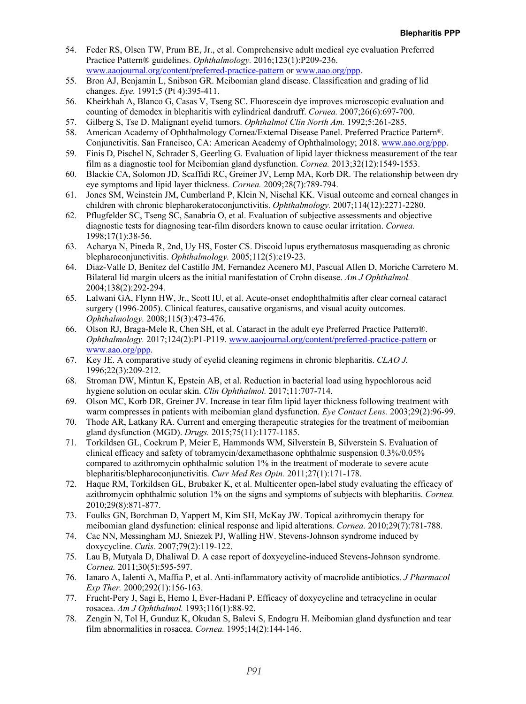- 54. Feder RS, Olsen TW, Prum BE, Jr., et al. Comprehensive adult medical eye evaluation Preferred Practice Pattern® guidelines. *Ophthalmology.* 2016;123(1):P209-236. www.aaojournal.org/content/preferred-practice-pattern or www.aao.org/ppp.
- 55. Bron AJ, Benjamin L, Snibson GR. Meibomian gland disease. Classification and grading of lid changes. *Eye.* 1991;5 (Pt 4):395-411.
- 56. Kheirkhah A, Blanco G, Casas V, Tseng SC. Fluorescein dye improves microscopic evaluation and counting of demodex in blepharitis with cylindrical dandruff. *Cornea.* 2007;26(6):697-700.
- 57. Gilberg S, Tse D. Malignant eyelid tumors. *Ophthalmol Clin North Am.* 1992;5:261-285.
- 58. American Academy of Ophthalmology Cornea/External Disease Panel. Preferred Practice Pattern®. Conjunctivitis. San Francisco, CA: American Academy of Ophthalmology; 2018. www.aao.org/ppp.
- 59. Finis D, Pischel N, Schrader S, Geerling G. Evaluation of lipid layer thickness measurement of the tear film as a diagnostic tool for Meibomian gland dysfunction. *Cornea.* 2013;32(12):1549-1553.
- 60. Blackie CA, Solomon JD, Scaffidi RC, Greiner JV, Lemp MA, Korb DR. The relationship between dry eye symptoms and lipid layer thickness. *Cornea.* 2009;28(7):789-794.
- 61. Jones SM, Weinstein JM, Cumberland P, Klein N, Nischal KK. Visual outcome and corneal changes in children with chronic blepharokeratoconjunctivitis. *Ophthalmology.* 2007;114(12):2271-2280.
- 62. Pflugfelder SC, Tseng SC, Sanabria O, et al. Evaluation of subjective assessments and objective diagnostic tests for diagnosing tear-film disorders known to cause ocular irritation. *Cornea.*  1998;17(1):38-56.
- 63. Acharya N, Pineda R, 2nd, Uy HS, Foster CS. Discoid lupus erythematosus masquerading as chronic blepharoconjunctivitis. *Ophthalmology.* 2005;112(5):e19-23.
- 64. Diaz-Valle D, Benitez del Castillo JM, Fernandez Acenero MJ, Pascual Allen D, Moriche Carretero M. Bilateral lid margin ulcers as the initial manifestation of Crohn disease. *Am J Ophthalmol.*  2004;138(2):292-294.
- 65. Lalwani GA, Flynn HW, Jr., Scott IU, et al. Acute-onset endophthalmitis after clear corneal cataract surgery (1996-2005). Clinical features, causative organisms, and visual acuity outcomes. *Ophthalmology.* 2008;115(3):473-476.
- 66. Olson RJ, Braga-Mele R, Chen SH, et al. Cataract in the adult eye Preferred Practice Pattern®. *Ophthalmology.* 2017;124(2):P1-P119. www.aaojournal.org/content/preferred-practice-pattern or www.aao.org/ppp.
- 67. Key JE. A comparative study of eyelid cleaning regimens in chronic blepharitis. *CLAO J.*  1996;22(3):209-212.
- 68. Stroman DW, Mintun K, Epstein AB, et al. Reduction in bacterial load using hypochlorous acid hygiene solution on ocular skin. *Clin Ophthalmol.* 2017;11:707-714.
- 69. Olson MC, Korb DR, Greiner JV. Increase in tear film lipid layer thickness following treatment with warm compresses in patients with meibomian gland dysfunction. *Eye Contact Lens.* 2003;29(2):96-99.
- 70. Thode AR, Latkany RA. Current and emerging therapeutic strategies for the treatment of meibomian gland dysfunction (MGD). *Drugs.* 2015;75(11):1177-1185.
- 71. Torkildsen GL, Cockrum P, Meier E, Hammonds WM, Silverstein B, Silverstein S. Evaluation of clinical efficacy and safety of tobramycin/dexamethasone ophthalmic suspension 0.3%/0.05% compared to azithromycin ophthalmic solution 1% in the treatment of moderate to severe acute blepharitis/blepharoconjunctivitis. *Curr Med Res Opin.* 2011;27(1):171-178.
- 72. Haque RM, Torkildsen GL, Brubaker K, et al. Multicenter open-label study evaluating the efficacy of azithromycin ophthalmic solution 1% on the signs and symptoms of subjects with blepharitis. *Cornea.*  2010;29(8):871-877.
- 73. Foulks GN, Borchman D, Yappert M, Kim SH, McKay JW. Topical azithromycin therapy for meibomian gland dysfunction: clinical response and lipid alterations. *Cornea.* 2010;29(7):781-788.
- 74. Cac NN, Messingham MJ, Sniezek PJ, Walling HW. Stevens-Johnson syndrome induced by doxycycline. *Cutis.* 2007;79(2):119-122.
- 75. Lau B, Mutyala D, Dhaliwal D. A case report of doxycycline-induced Stevens-Johnson syndrome. *Cornea.* 2011;30(5):595-597.
- 76. Ianaro A, Ialenti A, Maffia P, et al. Anti-inflammatory activity of macrolide antibiotics. *J Pharmacol Exp Ther.* 2000;292(1):156-163.
- 77. Frucht-Pery J, Sagi E, Hemo I, Ever-Hadani P. Efficacy of doxycycline and tetracycline in ocular rosacea. *Am J Ophthalmol.* 1993;116(1):88-92.
- 78. Zengin N, Tol H, Gunduz K, Okudan S, Balevi S, Endogru H. Meibomian gland dysfunction and tear film abnormalities in rosacea. *Cornea.* 1995;14(2):144-146.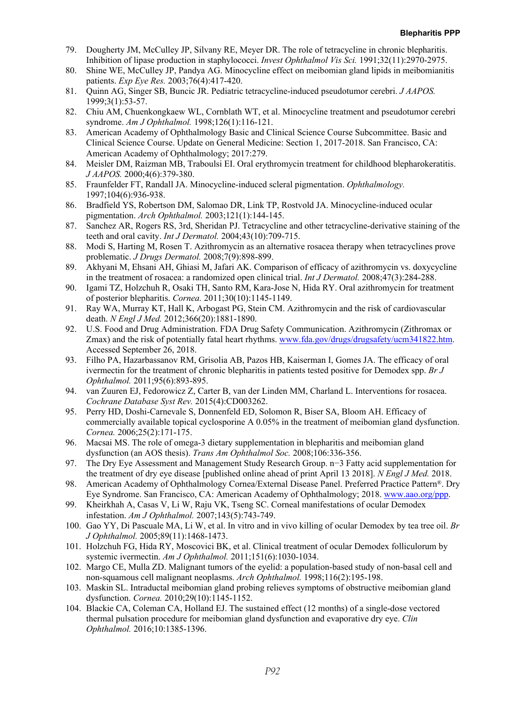- 79. Dougherty JM, McCulley JP, Silvany RE, Meyer DR. The role of tetracycline in chronic blepharitis. Inhibition of lipase production in staphylococci. *Invest Ophthalmol Vis Sci.* 1991;32(11):2970-2975.
- 80. Shine WE, McCulley JP, Pandya AG. Minocycline effect on meibomian gland lipids in meibomianitis patients. *Exp Eye Res.* 2003;76(4):417-420.
- 81. Quinn AG, Singer SB, Buncic JR. Pediatric tetracycline-induced pseudotumor cerebri. *J AAPOS.*  1999;3(1):53-57.
- 82. Chiu AM, Chuenkongkaew WL, Cornblath WT, et al. Minocycline treatment and pseudotumor cerebri syndrome. *Am J Ophthalmol.* 1998;126(1):116-121.
- 83. American Academy of Ophthalmology Basic and Clinical Science Course Subcommittee. Basic and Clinical Science Course. Update on General Medicine: Section 1, 2017-2018. San Francisco, CA: American Academy of Ophthalmology; 2017:279.
- 84. Meisler DM, Raizman MB, Traboulsi EI. Oral erythromycin treatment for childhood blepharokeratitis. *J AAPOS.* 2000;4(6):379-380.
- 85. Fraunfelder FT, Randall JA. Minocycline-induced scleral pigmentation. *Ophthalmology.*  1997;104(6):936-938.
- 86. Bradfield YS, Robertson DM, Salomao DR, Link TP, Rostvold JA. Minocycline-induced ocular pigmentation. *Arch Ophthalmol.* 2003;121(1):144-145.
- 87. Sanchez AR, Rogers RS, 3rd, Sheridan PJ. Tetracycline and other tetracycline-derivative staining of the teeth and oral cavity. *Int J Dermatol.* 2004;43(10):709-715.
- 88. Modi S, Harting M, Rosen T. Azithromycin as an alternative rosacea therapy when tetracyclines prove problematic. *J Drugs Dermatol.* 2008;7(9):898-899.
- 89. Akhyani M, Ehsani AH, Ghiasi M, Jafari AK. Comparison of efficacy of azithromycin vs. doxycycline in the treatment of rosacea: a randomized open clinical trial. *Int J Dermatol.* 2008;47(3):284-288.
- 90. Igami TZ, Holzchuh R, Osaki TH, Santo RM, Kara-Jose N, Hida RY. Oral azithromycin for treatment of posterior blepharitis. *Cornea.* 2011;30(10):1145-1149.
- 91. Ray WA, Murray KT, Hall K, Arbogast PG, Stein CM. Azithromycin and the risk of cardiovascular death. *N Engl J Med.* 2012;366(20):1881-1890.
- 92. U.S. Food and Drug Administration. FDA Drug Safety Communication. Azithromycin (Zithromax or Zmax) and the risk of potentially fatal heart rhythms. www.fda.gov/drugs/drugsafety/ucm341822.htm. Accessed September 26, 2018.
- 93. Filho PA, Hazarbassanov RM, Grisolia AB, Pazos HB, Kaiserman I, Gomes JA. The efficacy of oral ivermectin for the treatment of chronic blepharitis in patients tested positive for Demodex spp. *Br J Ophthalmol.* 2011;95(6):893-895.
- 94. van Zuuren EJ, Fedorowicz Z, Carter B, van der Linden MM, Charland L. Interventions for rosacea. *Cochrane Database Syst Rev.* 2015(4):CD003262.
- 95. Perry HD, Doshi-Carnevale S, Donnenfeld ED, Solomon R, Biser SA, Bloom AH. Efficacy of commercially available topical cyclosporine A 0.05% in the treatment of meibomian gland dysfunction. *Cornea.* 2006;25(2):171-175.
- 96. Macsai MS. The role of omega-3 dietary supplementation in blepharitis and meibomian gland dysfunction (an AOS thesis). *Trans Am Ophthalmol Soc.* 2008;106:336-356.
- 97. The Dry Eye Assessment and Management Study Research Group. n−3 Fatty acid supplementation for the treatment of dry eye disease [published online ahead of print April 13 2018]. *N Engl J Med.* 2018.
- 98. American Academy of Ophthalmology Cornea/External Disease Panel. Preferred Practice Pattern®. Dry Eye Syndrome. San Francisco, CA: American Academy of Ophthalmology; 2018. www.aao.org/ppp.
- 99. Kheirkhah A, Casas V, Li W, Raju VK, Tseng SC. Corneal manifestations of ocular Demodex infestation. *Am J Ophthalmol.* 2007;143(5):743-749.
- 100. Gao YY, Di Pascuale MA, Li W, et al. In vitro and in vivo killing of ocular Demodex by tea tree oil. *Br J Ophthalmol.* 2005;89(11):1468-1473.
- 101. Holzchuh FG, Hida RY, Moscovici BK, et al. Clinical treatment of ocular Demodex folliculorum by systemic ivermectin. *Am J Ophthalmol.* 2011;151(6):1030-1034.
- 102. Margo CE, Mulla ZD. Malignant tumors of the eyelid: a population-based study of non-basal cell and non-squamous cell malignant neoplasms. *Arch Ophthalmol.* 1998;116(2):195-198.
- 103. Maskin SL. Intraductal meibomian gland probing relieves symptoms of obstructive meibomian gland dysfunction. *Cornea.* 2010;29(10):1145-1152.
- 104. Blackie CA, Coleman CA, Holland EJ. The sustained effect (12 months) of a single-dose vectored thermal pulsation procedure for meibomian gland dysfunction and evaporative dry eye. *Clin Ophthalmol.* 2016;10:1385-1396.